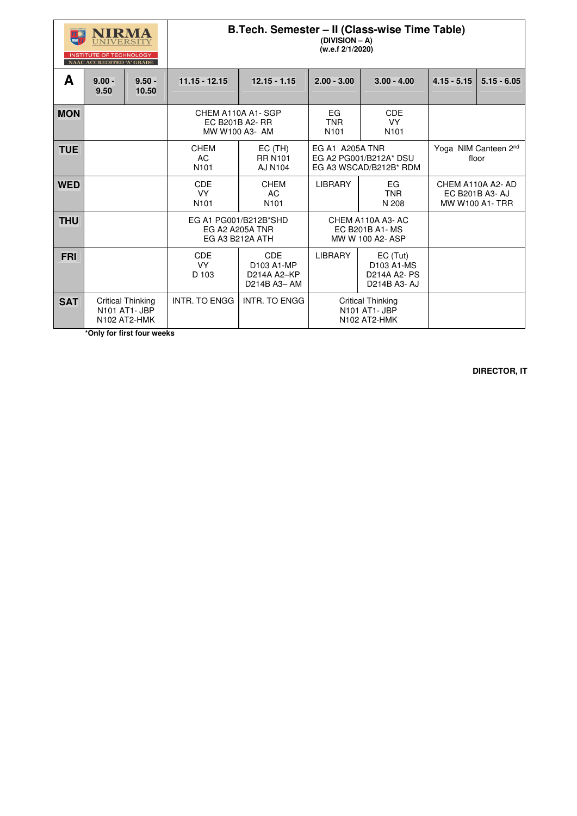| NIRMA<br>VERSIT                  |
|----------------------------------|
| <b>INSTITUTE OF TECHNOLOGY</b>   |
| <b>NAAC ACCREDITED 'A' GRADE</b> |

## **B.Tech. Semester – II (Class-wise Time Table)**

**(DIVISION – A) (w.e.f 2/1/2020)** 

| A          | $9.00 -$<br>9.50 | $9.50 -$<br>10.50                                         | $11.15 - 12.15$                                                                               | $12.15 - 1.15$                                              | $2.00 - 3.00$                                             | $3.00 - 4.00$                                                 | $4.15 - 5.15$ | $5.15 - 6.05$                                                 |
|------------|------------------|-----------------------------------------------------------|-----------------------------------------------------------------------------------------------|-------------------------------------------------------------|-----------------------------------------------------------|---------------------------------------------------------------|---------------|---------------------------------------------------------------|
| <b>MON</b> |                  |                                                           | CHEM A110A A1-SGP<br>EC B201B A2- RR<br>MW W100 A3- AM                                        |                                                             | EG<br><b>TNR</b><br>N101                                  | <b>CDE</b><br><b>VY</b><br>N <sub>101</sub>                   |               |                                                               |
| <b>TUE</b> |                  |                                                           | <b>CHEM</b><br>$EC$ (TH)<br><b>AC</b><br><b>RR N101</b><br>N <sub>101</sub><br><b>AJ N104</b> |                                                             | <b>EG A1 A205A TNR</b>                                    | EG A2 PG001/B212A* DSU<br>EG A3 WSCAD/B212B* RDM              |               | Yoga NIM Canteen 2nd<br>floor                                 |
| <b>WED</b> |                  |                                                           | <b>CDE</b><br><b>VY</b><br>N <sub>101</sub>                                                   | <b>CHEM</b><br><b>AC</b><br>N <sub>101</sub>                | <b>LIBRARY</b><br>EG<br><b>TNR</b><br>N 208               |                                                               |               | CHEM A110A A2-AD<br>EC B201B A3- AJ<br><b>MW W100 A1- TRR</b> |
| <b>THU</b> |                  |                                                           |                                                                                               | EG A1 PG001/B212B*SHD<br>EG A2 A205A TNR<br>EG A3 B212A ATH |                                                           | CHEM A110A A3-AC<br><b>EC B201B A1-MS</b><br>MW W 100 A2- ASP |               |                                                               |
| <b>FRI</b> |                  |                                                           | <b>CDE</b><br><b>VY</b><br>D 103                                                              | <b>CDE</b><br>D103 A1-MP<br>D214A A2-KP<br>D214B A3-AM      | <b>LIBRARY</b>                                            | EC(Tut)<br>D103 A1-MS<br>D214A A2- PS<br>D214B A3- AJ         |               |                                                               |
| <b>SAT</b> |                  | <b>Critical Thinking</b><br>N101 AT1- JBP<br>N102 AT2-HMK | INTR. TO ENGG                                                                                 | <b>INTR. TO ENGG</b>                                        | <b>Critical Thinking</b><br>N101 AT1- JBP<br>N102 AT2-HMK |                                                               |               |                                                               |

 **\*Only for first four weeks**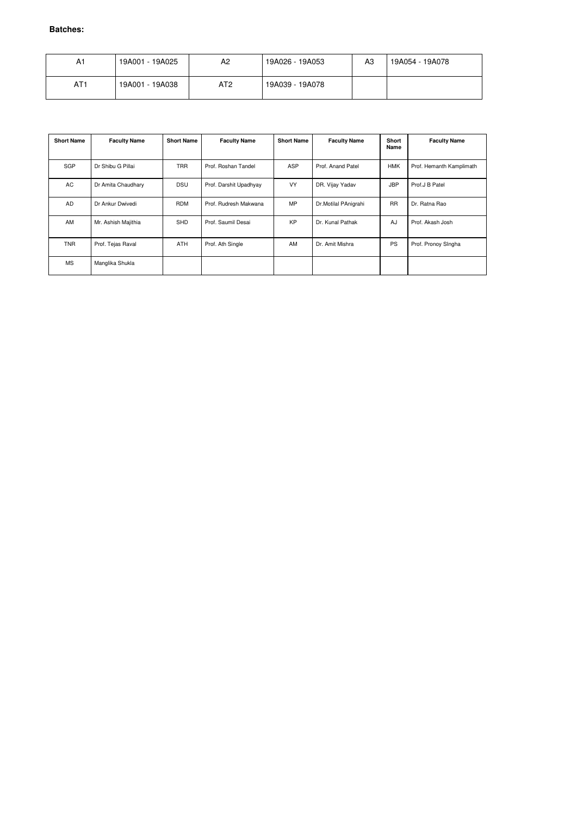| A1              | 19A001 - 19A025 | A2              | 19A026 - 19A053 | A <sub>3</sub> | 19A054 - 19A078 |
|-----------------|-----------------|-----------------|-----------------|----------------|-----------------|
| AT <sub>1</sub> | 19A001 - 19A038 | AT <sub>2</sub> | 19A039 - 19A078 |                |                 |

| <b>Short Name</b> | <b>Faculty Name</b> | <b>Short Name</b> | <b>Faculty Name</b>    | <b>Short Name</b> | <b>Faculty Name</b>  | <b>Short</b><br>Name | <b>Faculty Name</b>      |
|-------------------|---------------------|-------------------|------------------------|-------------------|----------------------|----------------------|--------------------------|
| <b>SGP</b>        | Dr Shibu G Pillai   | <b>TRR</b>        | Prof. Roshan Tandel    | <b>ASP</b>        | Prof. Anand Patel    | <b>HMK</b>           | Prof. Hemanth Kamplimath |
| AC                | Dr Amita Chaudhary  | <b>DSU</b>        | Prof. Darshit Upadhyay | <b>VY</b>         | DR. Vijay Yadav      | <b>JBP</b>           | Prof.J B Patel           |
| <b>AD</b>         | Dr Ankur Dwivedi    | <b>RDM</b>        | Prof. Rudresh Makwana  | MP.               | Dr.Motilal PAnigrahi | <b>RR</b>            | Dr. Ratna Rao            |
| AM                | Mr. Ashish Majithia | <b>SHD</b>        | Prof. Saumil Desai     | <b>KP</b>         | Dr. Kunal Pathak     | AJ                   | Prof. Akash Josh         |
| <b>TNR</b>        | Prof. Tejas Raval   | <b>ATH</b>        | Prof. Ath Single       | AM                | Dr. Amit Mishra      | <b>PS</b>            | Prof. Pronoy Singha      |
| <b>MS</b>         | Manglika Shukla     |                   |                        |                   |                      |                      |                          |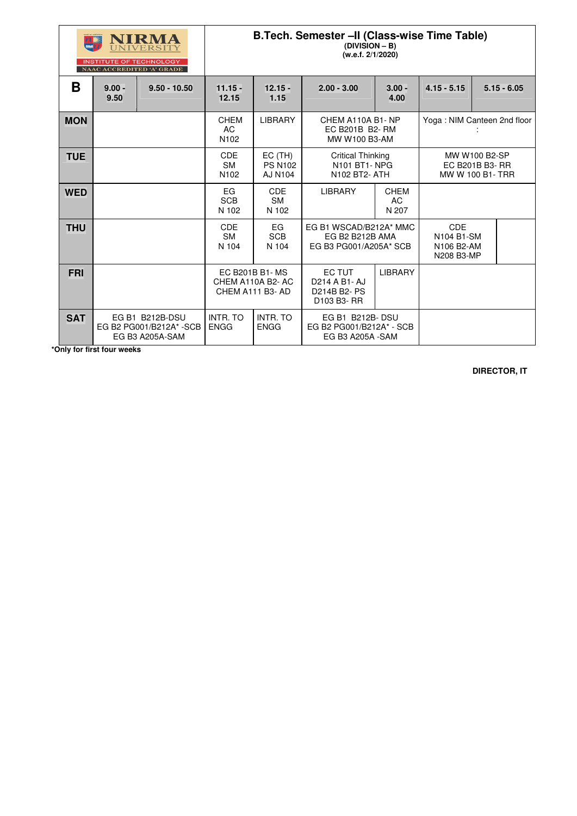|            |                  | RMA<br><b>TE OF TECHNOLOGY</b><br>NAAC ACCREDITED 'A' GRADE    | B. Tech. Semester -II (Class-wise Time Table)<br>$(DIVISION - B)$<br>(w.e.f. 2/1/2020) |                                                       |                                                                                |                                   |                                                      |  |               |
|------------|------------------|----------------------------------------------------------------|----------------------------------------------------------------------------------------|-------------------------------------------------------|--------------------------------------------------------------------------------|-----------------------------------|------------------------------------------------------|--|---------------|
| B          | $9.00 -$<br>9.50 | $9.50 - 10.50$                                                 | $11.15 -$<br>12.15                                                                     | $12.15 -$<br>1.15                                     | $2.00 - 3.00$                                                                  | $3.00 -$<br>4.00                  | $4.15 - 5.15$                                        |  | $5.15 - 6.05$ |
| <b>MON</b> |                  |                                                                | <b>CHEM</b><br><b>AC</b><br>N <sub>102</sub>                                           | <b>LIBRARY</b>                                        | CHEM A110A B1-NP<br>EC B201B B2-RM<br>MW W100 B3-AM                            |                                   | Yoga: NIM Canteen 2nd floor                          |  |               |
| <b>TUE</b> |                  |                                                                | <b>CDE</b><br><b>SM</b><br>N102                                                        | $EC$ (TH)<br><b>PS N102</b><br><b>AJ N104</b>         | <b>Critical Thinking</b><br>N101 BT1-NPG<br>N102 BT2- ATH                      |                                   | MW W100 B2-SP<br>EC B201B B3- RR<br>MW W 100 B1- TRR |  |               |
| <b>WED</b> |                  |                                                                | EG<br><b>SCB</b><br>N 102                                                              | <b>CDE</b><br><b>SM</b><br>N 102                      | <b>LIBRARY</b>                                                                 | <b>CHEM</b><br><b>AC</b><br>N 207 |                                                      |  |               |
| <b>THU</b> |                  |                                                                | <b>CDE</b><br><b>SM</b><br>N 104                                                       | EG<br><b>SCB</b><br>N 104                             | EG B1 WSCAD/B212A* MMC<br>EG B2 B212B AMA<br>EG B3 PG001/A205A* SCB            |                                   | <b>CDE</b><br>N104 B1-SM<br>N106 B2-AM<br>N208 B3-MP |  |               |
| <b>FRI</b> |                  |                                                                |                                                                                        | EC B201B B1-MS<br>CHEM A110A B2-AC<br>CHEM A111 B3-AD | <b>EC TUT</b><br><b>LIBRARY</b><br>D214 A B1- AJ<br>D214B B2- PS<br>D103 B3-RR |                                   |                                                      |  |               |
| <b>SAT</b> |                  | EG B1 B212B-DSU<br>EG B2 PG001/B212A* - SCB<br>EG B3 A205A-SAM | <b>INTR. TO</b><br><b>ENGG</b>                                                         | <b>INTR. TO</b><br><b>ENGG</b>                        | EG B1 B212B-DSU<br>EG B2 PG001/B212A* - SCB<br><b>EG B3 A205A -SAM</b>         |                                   |                                                      |  |               |

 **\*Only for first four weeks**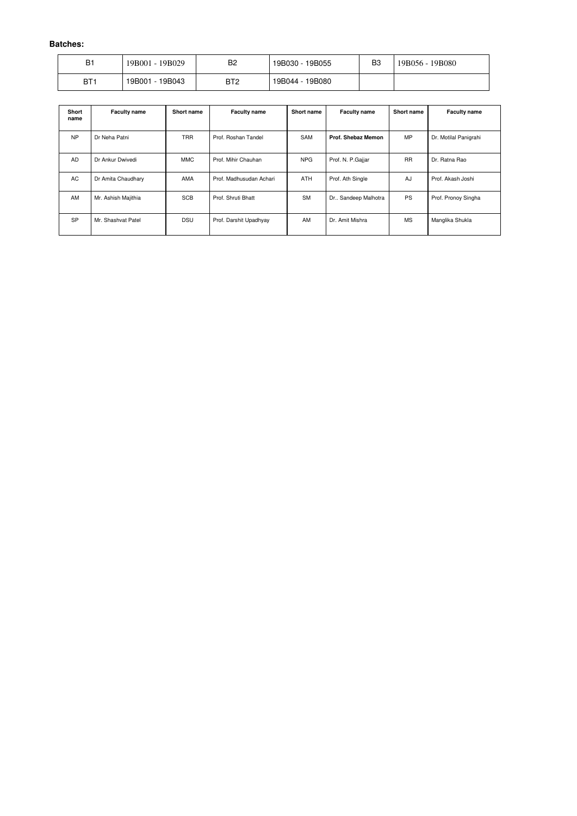| B1  | 19B001 - 19B029     | B <sub>2</sub>  | 19B030 -<br>19B055 | B <sub>3</sub> | 19B080<br>$19B056 - 1$ |
|-----|---------------------|-----------------|--------------------|----------------|------------------------|
| BT1 | $-19B043$<br>19B001 | BT <sub>2</sub> | 19B044 -<br>19B080 |                |                        |

| <b>Short</b><br>name | <b>Faculty name</b> | <b>Short name</b> | <b>Faculty name</b>     | <b>Short name</b> | <b>Faculty name</b>   | <b>Short name</b> | <b>Faculty name</b>   |
|----------------------|---------------------|-------------------|-------------------------|-------------------|-----------------------|-------------------|-----------------------|
| <b>NP</b>            | Dr Neha Patni       | <b>TRR</b>        | Prof. Roshan Tandel     | <b>SAM</b>        | Prof. Shebaz Memon    | <b>MP</b>         | Dr. Motilal Panigrahi |
| <b>AD</b>            | Dr Ankur Dwivedi    | MMC               | Prof. Mihir Chauhan     | <b>NPG</b>        | Prof. N. P.Gajjar     | <b>RR</b>         | Dr. Ratna Rao         |
| AC                   | Dr Amita Chaudhary  | <b>AMA</b>        | Prof. Madhusudan Achari | <b>ATH</b>        | Prof. Ath Single      | AJ                | Prof. Akash Joshi     |
| AM                   | Mr. Ashish Majithia | <b>SCB</b>        | Prof. Shruti Bhatt      | <b>SM</b>         | Dr., Sandeep Malhotra | <b>PS</b>         | Prof. Pronoy Singha   |
| <b>SP</b>            | Mr. Shashvat Patel  | <b>DSU</b>        | Prof. Darshit Upadhyay  | AM                | Dr. Amit Mishra       | <b>MS</b>         | Manglika Shukla       |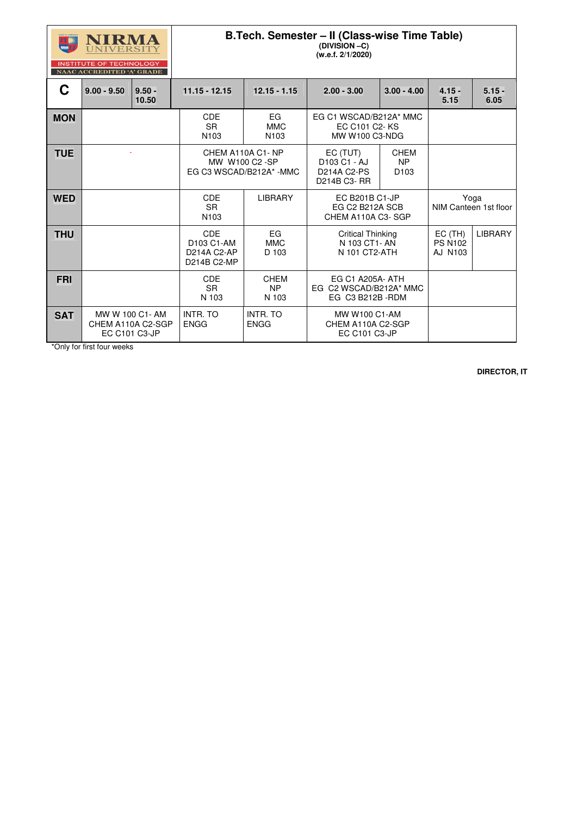|            | IVERSEI<br><b>INSTITUTE OF TECHNOLOGY</b><br>NAAC ACCREDITED 'A' GRADE |                   |                                                        | B.Tech. Semester - II (Class-wise Time Table) |                                                                        |                                                                         |                                     |                  |
|------------|------------------------------------------------------------------------|-------------------|--------------------------------------------------------|-----------------------------------------------|------------------------------------------------------------------------|-------------------------------------------------------------------------|-------------------------------------|------------------|
| C          | $9.00 - 9.50$                                                          | $9.50 -$<br>10.50 | 11.15 - 12.15                                          | $12.15 - 1.15$                                | $2.00 - 3.00$                                                          | $3.00 - 4.00$                                                           | $4.15 -$<br>5.15                    | $5.15 -$<br>6.05 |
| <b>MON</b> |                                                                        |                   | <b>CDE</b><br><b>SR</b><br>N <sub>103</sub>            | EG<br><b>MMC</b><br>N <sub>103</sub>          |                                                                        | EG C1 WSCAD/B212A* MMC<br><b>EC C101 C2-KS</b><br><b>MW W100 C3-NDG</b> |                                     |                  |
| <b>TUE</b> |                                                                        |                   | EG C3 WSCAD/B212A* -MMC                                | CHEM A110A C1-NP<br>MW W100 C2 -SP            | EC (TUT)<br>D103 C1 - AJ<br><b>D214A C2-PS</b><br>D214B C3-RR          | <b>CHEM</b><br><b>NP</b><br>D <sub>103</sub>                            |                                     |                  |
| <b>WED</b> |                                                                        |                   | <b>CDE</b><br><b>SR</b><br>N103                        | <b>LIBRARY</b>                                | <b>EC B201B C1-JP</b><br>EG C2 B212A SCB<br>CHEM A110A C3-SGP          |                                                                         | Yoga<br>NIM Canteen 1st floor       |                  |
| <b>THU</b> |                                                                        |                   | <b>CDE</b><br>D103 C1-AM<br>D214A C2-AP<br>D214B C2-MP | EG<br><b>MMC</b><br>D 103                     | <b>Critical Thinking</b><br>N 103 CT1-AN<br>N 101 CT2-ATH              |                                                                         | EC(TH)<br><b>PS N102</b><br>AJ N103 | <b>LIBRARY</b>   |
| <b>FRI</b> |                                                                        |                   | <b>CDE</b><br><b>SR</b><br>N 103                       | <b>CHEM</b><br><b>NP</b><br>N 103             | <b>EG C1 A205A- ATH</b><br>EG C2 WSCAD/B212A* MMC<br>EG C3 B212B - RDM |                                                                         |                                     |                  |
| <b>SAT</b> | CHEM A110A C2-SGP<br><b>EC C101 C3-JP</b>                              | MW W 100 C1-AM    | <b>INTR. TO</b><br><b>ENGG</b>                         | <b>INTR. TO</b><br><b>ENGG</b>                | MW W100 C1-AM<br>CHEM A110A C2-SGP<br><b>EC C101 C3-JP</b>             |                                                                         |                                     |                  |

\*Only for first four weeks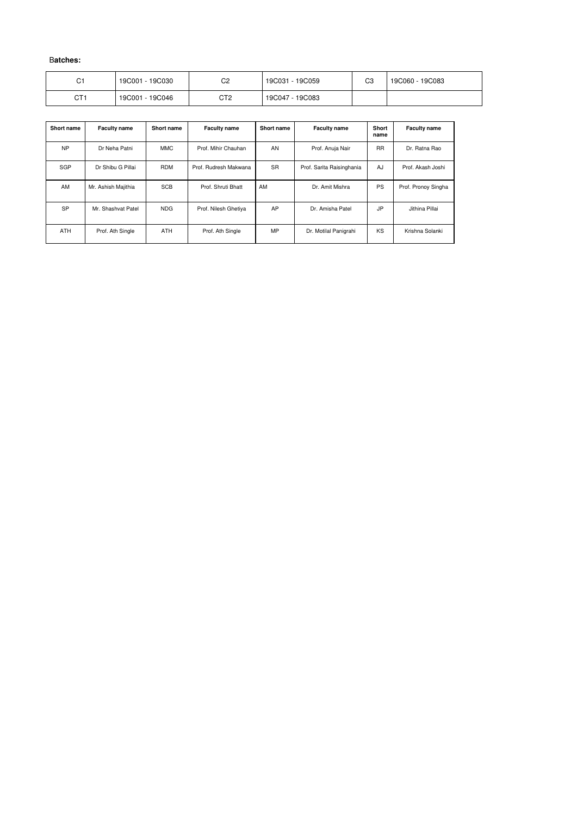| С1  | 19C001 - 19C030 | ∩∩<br>◡∠ | 19C031 - 19C059 | CЗ | 19C060 - 19C083 |
|-----|-----------------|----------|-----------------|----|-----------------|
| CT1 | 19C001 - 19C046 | CT2      | 19C047 - 19C083 |    |                 |

| <b>Short name</b> | <b>Faculty name</b> | <b>Short name</b> | <b>Faculty name</b>   | <b>Short name</b> | <b>Faculty name</b>       | Short<br>name | <b>Faculty name</b> |
|-------------------|---------------------|-------------------|-----------------------|-------------------|---------------------------|---------------|---------------------|
| <b>NP</b>         | Dr Neha Patni       | <b>MMC</b>        | Prof. Mihir Chauhan   | AN                | Prof. Anuja Nair          | <b>RR</b>     | Dr. Ratna Rao       |
| <b>SGP</b>        | Dr Shibu G Pillai   | <b>RDM</b>        | Prof. Rudresh Makwana | <b>SR</b>         | Prof. Sarita Raisinghania | AJ            | Prof. Akash Joshi   |
| AM                | Mr. Ashish Majithia | <b>SCB</b>        | Prof. Shruti Bhatt    | AM                | Dr. Amit Mishra           | <b>PS</b>     | Prof. Pronoy Singha |
| <b>SP</b>         | Mr. Shashvat Patel  | <b>NDG</b>        | Prof. Nilesh Ghetiya  | AP                | Dr. Amisha Patel          | JP            | Jithina Pillai      |
| <b>ATH</b>        | Prof. Ath Single    | <b>ATH</b>        | Prof. Ath Single      | <b>MP</b>         | Dr. Motilal Panigrahi     | KS            | Krishna Solanki     |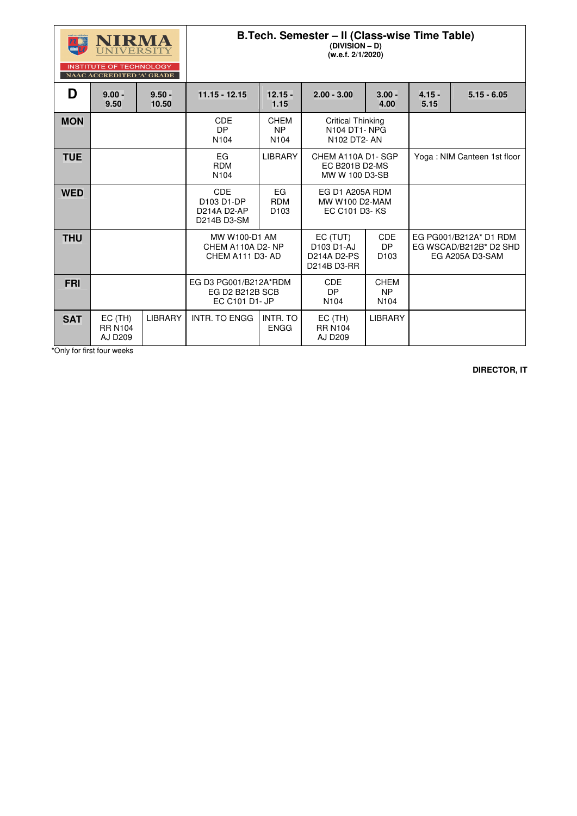

**INSTITUTE OF TECHNOLOGY** 

### **B.Tech. Semester – II (Class-wise Time Table)**

**(DIVISION – D)** 

**(w.e.f. 2/1/2020)** 

|            | <b>NAAC ACCREDITED 'A' GRADE</b>              |                   |                                                            |                                                                                             |                                                              |                                      |                             |                                                                     |
|------------|-----------------------------------------------|-------------------|------------------------------------------------------------|---------------------------------------------------------------------------------------------|--------------------------------------------------------------|--------------------------------------|-----------------------------|---------------------------------------------------------------------|
| D          | $9.00 -$<br>9.50                              | $9.50 -$<br>10.50 | $11.15 - 12.15$                                            | $12.15 -$<br>1.15                                                                           | $2.00 - 3.00$                                                | $3.00 -$<br>4.00                     | $4.15 -$<br>5.15            | $5.15 - 6.05$                                                       |
| <b>MON</b> |                                               |                   | <b>CDE</b><br><b>DP</b><br>N <sub>104</sub>                | <b>CHEM</b><br><b>NP</b><br>N <sub>104</sub>                                                | <b>Critical Thinking</b><br>N104 DT1-NPG<br>N102 DT2- AN     |                                      |                             |                                                                     |
| <b>TUE</b> |                                               |                   | EG<br><b>RDM</b><br>N <sub>104</sub>                       | <b>LIBRARY</b>                                                                              | CHEM A110A D1-SGP<br><b>EC B201B D2-MS</b><br>MW W 100 D3-SB |                                      | Yoga: NIM Canteen 1st floor |                                                                     |
| <b>WED</b> |                                               |                   | <b>CDE</b><br>D103 D1-DP<br>D214A D2-AP<br>D214B D3-SM     | EG<br><b>RDM</b><br>D <sub>103</sub>                                                        | EG D1 A205A RDM<br><b>MW W100 D2-MAM</b><br>EC C101 D3-KS    |                                      |                             |                                                                     |
| <b>THU</b> |                                               |                   |                                                            | MW W100-D1 AM<br>CHEM A110A D2-NP<br>CHEM A111 D3-AD                                        |                                                              | <b>CDE</b><br>DP<br>D <sub>103</sub> |                             | EG PG001/B212A* D1 RDM<br>EG WSCAD/B212B* D2 SHD<br>EG A205A D3-SAM |
| FRI        |                                               |                   | EG D3 PG001/B212A*RDM<br>EG D2 B212B SCB<br>EC C101 D1- JP | <b>CDE</b><br><b>CHEM</b><br><b>DP</b><br><b>NP</b><br>N <sub>104</sub><br>N <sub>104</sub> |                                                              |                                      |                             |                                                                     |
| <b>SAT</b> | $EC$ (TH)<br><b>RR N104</b><br><b>AJ D209</b> | <b>LIBRARY</b>    | <b>INTR. TO ENGG</b>                                       | <b>INTR. TO</b><br><b>ENGG</b>                                                              | $EC$ (TH)<br><b>RR N104</b><br><b>AJ D209</b>                | <b>LIBRARY</b>                       |                             |                                                                     |

\*Only for first four weeks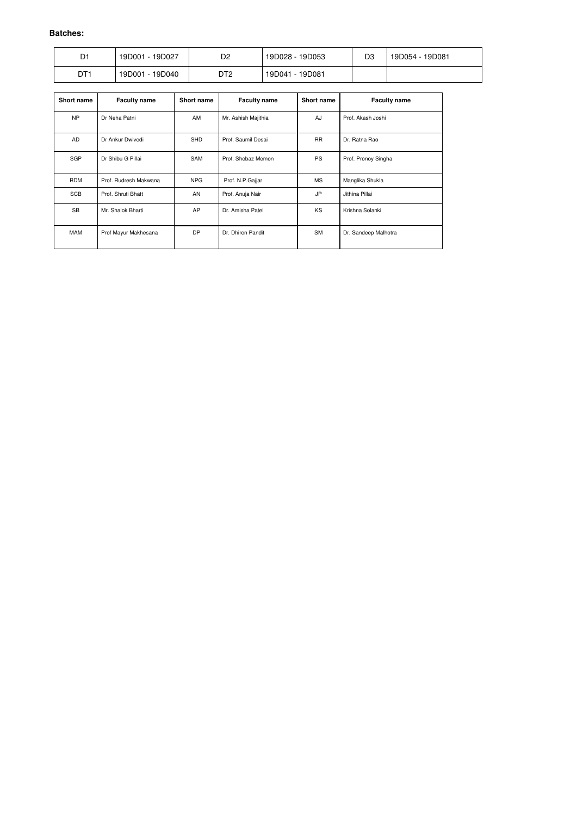| D1              | 19D027<br>19D001 | D2              | 19D028 - 19D053     | D <sub>3</sub> | 19D081<br>19D054 - |
|-----------------|------------------|-----------------|---------------------|----------------|--------------------|
| DT <sup>-</sup> | 19D040<br>19D001 | DT <sub>2</sub> | $-19D081$<br>19D041 |                |                    |

| <b>Short name</b> | <b>Faculty name</b>   | <b>Short name</b> | <b>Faculty name</b>       | <b>Short name</b> | <b>Faculty name</b>  |
|-------------------|-----------------------|-------------------|---------------------------|-------------------|----------------------|
| <b>NP</b>         | Dr Neha Patni         | AM                | Mr. Ashish Majithia<br>AJ |                   | Prof. Akash Joshi    |
| <b>AD</b>         | Dr Ankur Dwivedi      | <b>SHD</b>        | Prof. Saumil Desai        | <b>RR</b>         | Dr. Ratna Rao        |
| <b>SGP</b>        | Dr Shibu G Pillai     | <b>SAM</b>        | Prof. Shebaz Memon        | <b>PS</b>         | Prof. Pronoy Singha  |
| <b>RDM</b>        | Prof. Rudresh Makwana | <b>NPG</b>        | Prof. N.P.Gajjar          | <b>MS</b>         | Manglika Shukla      |
| <b>SCB</b>        | Prof. Shruti Bhatt    | AN                | Prof. Anuja Nair          | <b>JP</b>         | Jithina Pillai       |
| <b>SB</b>         | Mr. Shalok Bharti     | AP                | Dr. Amisha Patel          | KS                | Krishna Solanki      |
| <b>MAM</b>        | Prof Mayur Makhesana  | DP                | Dr. Dhiren Pandit         | <b>SM</b>         | Dr. Sandeep Malhotra |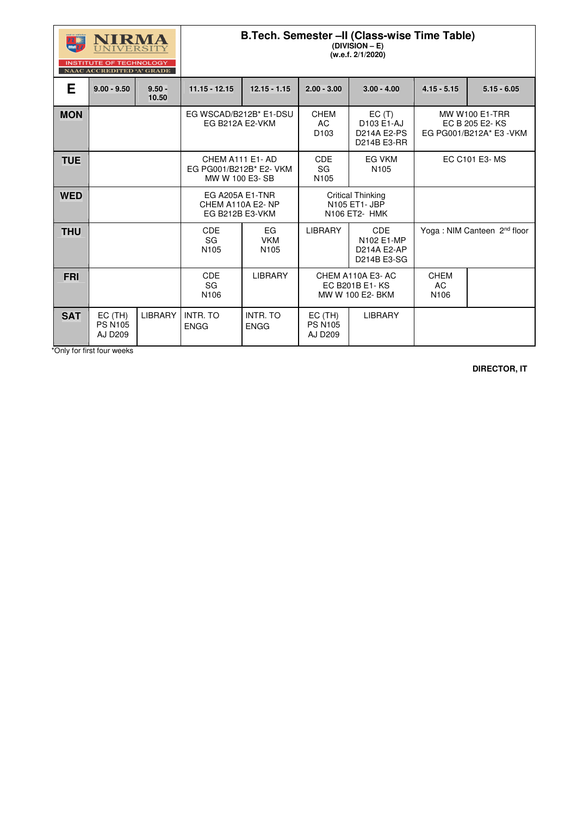| सम्प्रमे मा उन्नेपियमिक | IRK<br>$\mathbf{I}$<br><b>TA</b><br>$\mathbf{V}$ |
|-------------------------|--------------------------------------------------|
|                         |                                                  |

### **B.Tech. Semester –II (Class-wise Time Table)**

**(DIVISION – E) (w.e.f. 2/1/2020)** 

| INSTITUTE OF TECHNOLOGY          |  |
|----------------------------------|--|
| <b>NAAC ACCREDITED 'A' GRADE</b> |  |

|            | <b>INSTITUTE OF TECHNOLOGY</b><br>NAAC ACCREDITED 'A' GRADE |                   |                                                                      |                                      |                                                               |                                                          |                                                                     |               |
|------------|-------------------------------------------------------------|-------------------|----------------------------------------------------------------------|--------------------------------------|---------------------------------------------------------------|----------------------------------------------------------|---------------------------------------------------------------------|---------------|
| E.         | $9.00 - 9.50$                                               | $9.50 -$<br>10.50 | $11.15 - 12.15$                                                      | $12.15 - 1.15$                       | $2.00 - 3.00$                                                 | $3.00 - 4.00$                                            | $4.15 - 5.15$                                                       | $5.15 - 6.05$ |
| <b>MON</b> |                                                             |                   | EG WSCAD/B212B* E1-DSU<br>EG B212A E2-VKM                            |                                      | <b>CHEM</b><br><b>AC</b><br>D <sub>103</sub>                  | EC(T)<br>D103 E1-AJ<br><b>D214A E2-PS</b><br>D214B E3-RR | <b>MW W100 E1-TRR</b><br>EC B 205 E2-KS<br>EG PG001/B212A* E3 - VKM |               |
| <b>TUE</b> |                                                             |                   | CHEM A111 E1-AD<br>EG PG001/B212B* E2- VKM<br>MW W 100 E3-SB         |                                      | <b>CDE</b><br><b>SG</b><br>N105                               | <b>EG VKM</b><br>N <sub>105</sub>                        | EC C101 E3- MS                                                      |               |
| <b>WED</b> |                                                             |                   | <b>EG A205A E1-TNR</b><br>CHEM A110A E2-NP<br><b>EG B212B E3-VKM</b> |                                      | <b>Critical Thinking</b><br>N105 ET1- JBP<br>N106 ET2- HMK    |                                                          |                                                                     |               |
| <b>THU</b> |                                                             |                   | <b>CDE</b><br>SG<br>N <sub>105</sub>                                 | EG<br><b>VKM</b><br>N <sub>105</sub> | <b>LIBRARY</b>                                                | <b>CDE</b><br>N102 E1-MP<br>D214A E2-AP<br>D214B E3-SG   | Yoga: NIM Canteen 2 <sup>nd</sup> floor                             |               |
| <b>FRI</b> |                                                             |                   | <b>CDE</b><br>SG<br>N <sub>106</sub>                                 | <b>LIBRARY</b>                       | CHEM A110A E3-AC<br><b>EC B201B E1-KS</b><br>MW W 100 E2- BKM |                                                          | <b>CHEM</b><br><b>AC</b><br>N106                                    |               |
| <b>SAT</b> | $EC$ (TH)<br><b>PS N105</b><br><b>AJ D209</b>               | <b>LIBRARY</b>    | <b>INTR. TO</b><br><b>ENGG</b>                                       | <b>INTR. TO</b><br><b>ENGG</b>       | $EC$ (TH)<br><b>PS N105</b><br><b>AJ D209</b>                 | <b>LIBRARY</b>                                           |                                                                     |               |

\*Only for first four weeks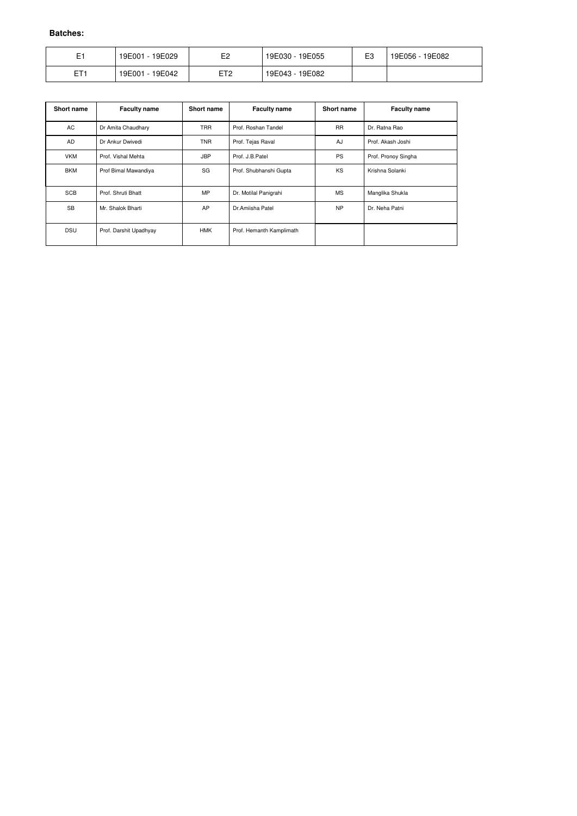| E1              | 19E029<br>19E001 - | E <sub>2</sub>  | 19E030 - 19E055 | E3 | 19E056 - 19E082 |
|-----------------|--------------------|-----------------|-----------------|----|-----------------|
| ET <sub>1</sub> | 19E042<br>19E001 - | ET <sub>2</sub> | 19E043 - 19E082 |    |                 |

| <b>Short name</b> | <b>Faculty name</b>    | Short name | <b>Faculty name</b>      | <b>Short name</b> | <b>Faculty name</b> |
|-------------------|------------------------|------------|--------------------------|-------------------|---------------------|
| AC                | Dr Amita Chaudhary     | <b>TRR</b> | Prof. Roshan Tandel      | <b>RR</b>         | Dr. Ratna Rao       |
| AD                | Dr Ankur Dwivedi       | <b>TNR</b> | Prof. Tejas Raval        | AJ                | Prof. Akash Joshi   |
| <b>VKM</b>        | Prof. Vishal Mehta     | <b>JBP</b> | Prof. J.B.Patel          | <b>PS</b>         | Prof. Pronoy Singha |
| <b>BKM</b>        | Prof Bimal Mawandiya   | SG         | Prof. Shubhanshi Gupta   | <b>KS</b>         | Krishna Solanki     |
| <b>SCB</b>        | Prof. Shruti Bhatt     | <b>MP</b>  | Dr. Motilal Panigrahi    | <b>MS</b>         | Manglika Shukla     |
| <b>SB</b>         | Mr. Shalok Bharti      | AP         | Dr.Amiisha Patel         | <b>NP</b>         | Dr. Neha Patni      |
| <b>DSU</b>        | Prof. Darshit Upadhyay | <b>HMK</b> | Prof. Hemanth Kamplimath |                   |                     |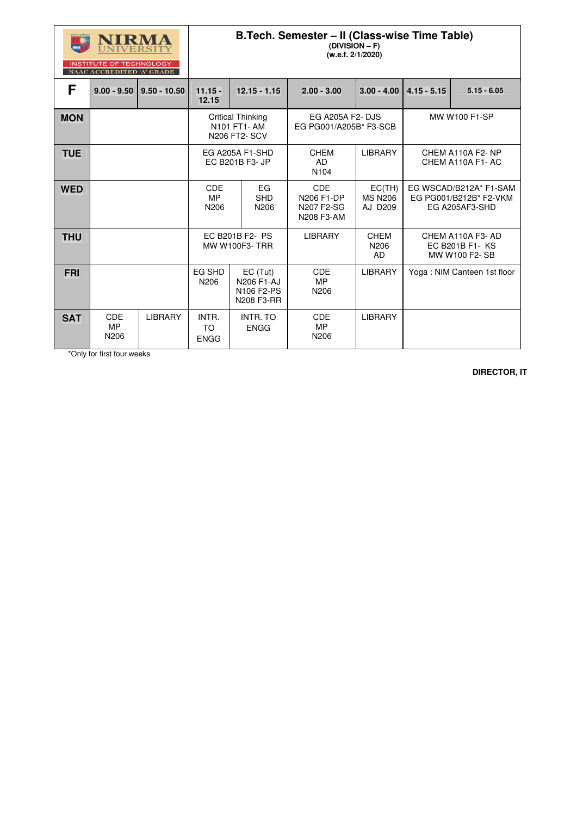|            | NIRMA<br>UNIVERSITY<br><b>INSTITUTE OF TECHNOLOGY</b><br>NAAC ACCREDITED 'A' GRADE |                | B.Tech. Semester - II (Class-wise Time Table)<br>$(DIVISION - F)$<br>(w.e.f. 2/1/2020) |                                                                  |                                                                    |                                     |                                                                    |                             |
|------------|------------------------------------------------------------------------------------|----------------|----------------------------------------------------------------------------------------|------------------------------------------------------------------|--------------------------------------------------------------------|-------------------------------------|--------------------------------------------------------------------|-----------------------------|
| F          | $9.00 - 9.50$                                                                      | $9.50 - 10.50$ | $11.15 -$<br>12.15                                                                     | $12.15 - 1.15$                                                   | $2.00 - 3.00$                                                      | $3.00 - 4.00$                       | $4.15 - 5.15$                                                      | $5.15 - 6.05$               |
| <b>MON</b> |                                                                                    |                | <b>Critical Thinking</b><br>N101 FT1- AM<br><b>N206 FT2- SCV</b>                       |                                                                  | <b>EG A205A F2- DJS</b><br>EG PG001/A205B* F3-SCB                  |                                     | <b>MW W100 F1-SP</b>                                               |                             |
| <b>TUE</b> |                                                                                    |                |                                                                                        | EG A205A F1-SHD<br>EC B201B F3- JP                               | <b>CHEM</b><br><b>AD</b><br>N <sub>104</sub>                       | <b>LIBRARY</b>                      | CHEM A110A F2-NP<br>CHEM A110A F1-AC                               |                             |
| <b>WED</b> |                                                                                    |                | <b>CDE</b><br><b>MP</b><br>N206                                                        | EG<br><b>SHD</b><br>N206                                         | <b>CDE</b><br><b>N206 F1-DP</b><br><b>N207 F2-SG</b><br>N208 F3-AM | EC(TH)<br><b>MS N206</b><br>AJ D209 | EG WSCAD/B212A* F1-SAM<br>EG PG001/B212B* F2-VKM<br>EG A205AF3-SHD |                             |
| <b>THU</b> |                                                                                    |                |                                                                                        | EC B201B F2- PS<br><b>MW W100F3-TRR</b>                          | <b>LIBRARY</b>                                                     | <b>CHEM</b><br>N206<br><b>AD</b>    | CHEM A110A F3-AD<br>EC B201B F1- KS<br>MW W100 F2-SB               |                             |
| <b>FRI</b> |                                                                                    |                | EG SHD<br>N206                                                                         | EC (Tut)<br><b>N206 F1-AJ</b><br>N106 F2-PS<br><b>N208 F3-RR</b> | <b>CDE</b><br><b>MP</b><br>N206                                    | <b>LIBRARY</b>                      |                                                                    | Yoga: NIM Canteen 1st floor |
| <b>SAT</b> | <b>CDE</b><br><b>MP</b><br>N206                                                    | <b>LIBRARY</b> | INTR.<br><b>TO</b><br><b>ENGG</b>                                                      | <b>INTR. TO</b><br><b>ENGG</b>                                   | <b>CDE</b><br><b>MP</b><br>N206                                    | <b>LIBRARY</b>                      |                                                                    |                             |

\*Only for first four weeks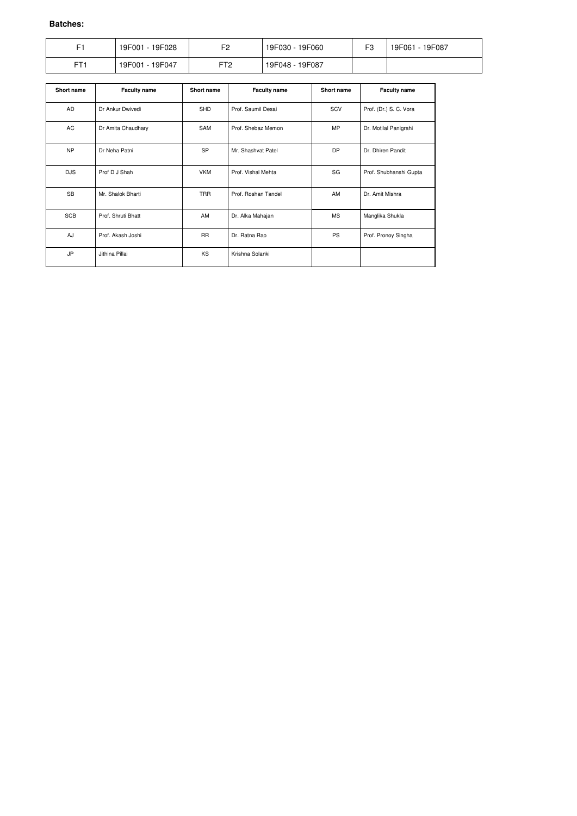|                 | 19F028<br>19F001 - | F <sub>2</sub> | 19F030 - 19F060    | ౼౧ | 19F087<br>19F061 |
|-----------------|--------------------|----------------|--------------------|----|------------------|
| FT <sub>1</sub> | 19F001 -<br>19F047 | ᇊᅮ<br>.        | 19F087<br>19F048 - |    |                  |

| Short name | <b>Faculty name</b> | <b>Short name</b> | <b>Faculty name</b> | <b>Short name</b> | <b>Faculty name</b>    |
|------------|---------------------|-------------------|---------------------|-------------------|------------------------|
| AD         | Dr Ankur Dwivedi    | SHD               | Prof. Saumil Desai  | SCV               | Prof. (Dr.) S. C. Vora |
| AC         | Dr Amita Chaudhary  | SAM               | Prof. Shebaz Memon  | <b>MP</b>         | Dr. Motilal Panigrahi  |
| <b>NP</b>  | Dr Neha Patni       | <b>SP</b>         | Mr. Shashvat Patel  | <b>DP</b>         | Dr. Dhiren Pandit      |
| <b>DJS</b> | Prof D J Shah       | <b>VKM</b>        | Prof. Vishal Mehta  | SG                | Prof. Shubhanshi Gupta |
| <b>SB</b>  | Mr. Shalok Bharti   | <b>TRR</b>        | Prof. Roshan Tandel | AM                | Dr. Amit Mishra        |
| <b>SCB</b> | Prof. Shruti Bhatt  | AM                | Dr. Alka Mahajan    | <b>MS</b>         | Manglika Shukla        |
| AJ         | Prof. Akash Joshi   | <b>RR</b>         | Dr. Ratna Rao       | <b>PS</b>         | Prof. Pronoy Singha    |
| <b>JP</b>  | Jithina Pillai      | KS                | Krishna Solanki     |                   |                        |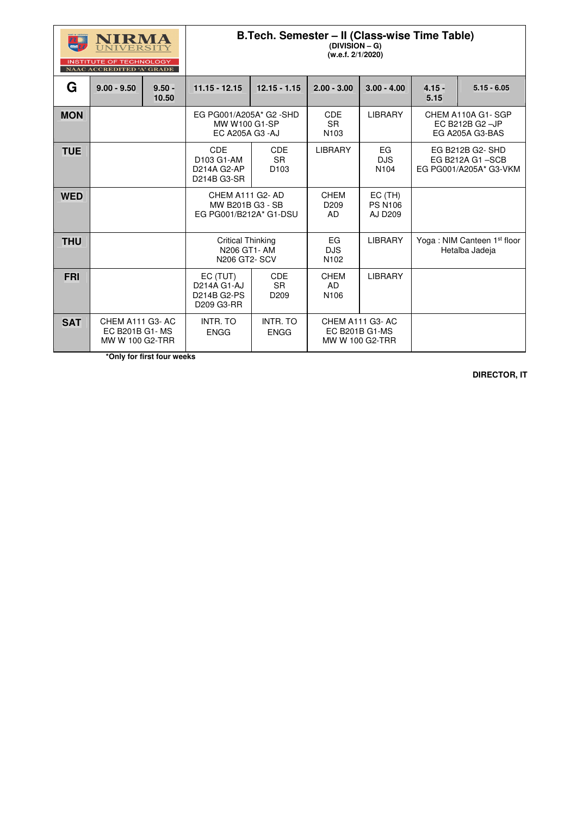| UIRN<br>LA<br>M |
|-----------------|
|-----------------|

**SAT** | CHEM A111 G3-AC

### **B.Tech. Semester – II (Class-wise Time Table)**

**(DIVISION – G) (w.e.f. 2/1/2020)** 

|            | <b>INSTITUTE OF TECHNOLOGY</b><br><b>NAAC ACCREDITED 'A' GRADE</b> |                   |                                                                    |                                             |                                             |                                               |                  |                                                              |
|------------|--------------------------------------------------------------------|-------------------|--------------------------------------------------------------------|---------------------------------------------|---------------------------------------------|-----------------------------------------------|------------------|--------------------------------------------------------------|
| G          | $9.00 - 9.50$                                                      | $9.50 -$<br>10.50 | $11.15 - 12.15$                                                    | $12.15 - 1.15$                              | $2.00 - 3.00$                               | $3.00 - 4.00$                                 | $4.15 -$<br>5.15 | $5.15 - 6.05$                                                |
| <b>MON</b> |                                                                    |                   | EG PG001/A205A* G2 -SHD<br>MW W100 G1-SP<br><b>EC A205A G3 -AJ</b> |                                             | <b>CDE</b><br><b>SR</b><br>N <sub>103</sub> | <b>LIBRARY</b>                                |                  | CHEM A110A G1-SGP<br>EC B212B G2 -JP<br>EG A205A G3-BAS      |
| <b>TUE</b> |                                                                    |                   | <b>CDE</b><br>D103 G1-AM<br>D214A G2-AP<br>D214B G3-SR             | <b>CDE</b><br><b>SR</b><br>D <sub>103</sub> | <b>LIBRARY</b>                              | EG<br><b>DJS</b><br>N <sub>104</sub>          |                  | EG B212B G2-SHD<br>EG B212A G1-SCB<br>EG PG001/A205A* G3-VKM |
| <b>WED</b> |                                                                    |                   | CHEM A111 G2-AD<br>MW B201B G3 - SB<br>EG PG001/B212A* G1-DSU      |                                             | <b>CHEM</b><br>D <sub>209</sub><br>AD       | $EC$ (TH)<br><b>PS N106</b><br><b>AJ D209</b> |                  |                                                              |
| <b>THU</b> |                                                                    |                   | <b>Critical Thinking</b><br>N206 GT1-AM<br><b>N206 GT2-SCV</b>     |                                             | EG<br><b>DJS</b><br>N <sub>102</sub>        | <b>LIBRARY</b>                                |                  | Yoga: NIM Canteen 1 <sup>st</sup> floor<br>Hetalba Jadeja    |
| <b>FRI</b> |                                                                    |                   | EC (TUT)<br>D214A G1-AJ<br>D214B G2-PS                             | <b>CDE</b><br><b>SR</b><br>D <sub>209</sub> | <b>CHEM</b><br>AD<br>N <sub>106</sub>       | <b>LIBRARY</b>                                |                  |                                                              |

D209 G3-RR

EC B201B G1- MS MW W 100 G2-TRR INTR. TO ENGG

INTR. TO ENGG

CHEM A111 G3- AC EC B201B G1-MS MW W 100 G2-TRR

 **\*Only for first four weeks**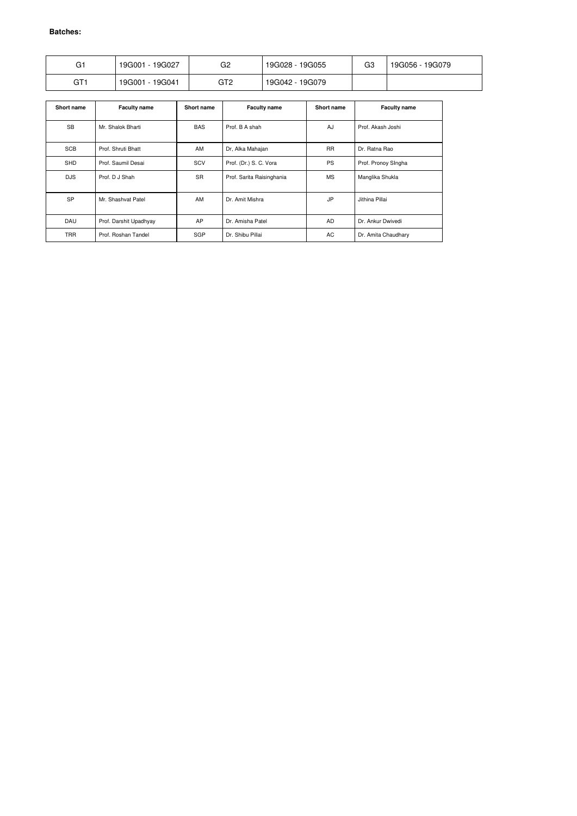| G1              | 19G027<br>19G001 | G2  | 19G055<br>19G028 - | G3 | 19G056 - 19G079 |
|-----------------|------------------|-----|--------------------|----|-----------------|
| GT <sub>1</sub> | 19G041<br>19G001 | GT2 | 19G042 - 19G079    |    |                 |

| Short name | <b>Faculty name</b>    | Short name | <b>Faculty name</b>       | Short name | <b>Faculty name</b> |
|------------|------------------------|------------|---------------------------|------------|---------------------|
| <b>SB</b>  | Mr. Shalok Bharti      |            | Prof. B A shah            | AJ         | Prof. Akash Joshi   |
| <b>SCB</b> | Prof. Shruti Bhatt     | AM         | Dr, Alka Mahajan          | <b>RR</b>  | Dr. Ratna Rao       |
| <b>SHD</b> | Prof. Saumil Desai     | SCV        | Prof. (Dr.) S. C. Vora    | <b>PS</b>  | Prof. Pronoy SIngha |
| <b>DJS</b> | Prof. D J Shah         | <b>SR</b>  | Prof. Sarita Raisinghania | <b>MS</b>  | Manglika Shukla     |
| <b>SP</b>  | Mr. Shashvat Patel     | AM         | Dr. Amit Mishra           | <b>JP</b>  | Jithina Pillai      |
| <b>DAU</b> | Prof. Darshit Upadhyay | AP         | Dr. Amisha Patel          | AD         | Dr. Ankur Dwivedi   |
| <b>TRR</b> | Prof. Roshan Tandel    | <b>SGP</b> | Dr. Shibu Pillai          | AC         | Dr. Amita Chaudhary |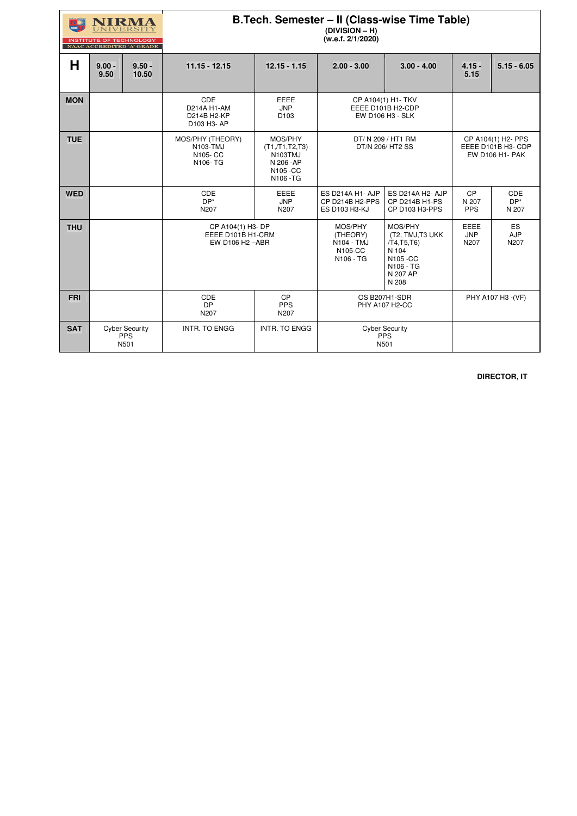|            | <b>INSTITUTE OF TECHNOLOGY</b>        | NAAC ACCREDITED 'A' GRADE                   | B.Tech. Semester - II (Class-wise Time Table)              |                                                                                |                                                                    |                                                                                                   |                                                             |                               |
|------------|---------------------------------------|---------------------------------------------|------------------------------------------------------------|--------------------------------------------------------------------------------|--------------------------------------------------------------------|---------------------------------------------------------------------------------------------------|-------------------------------------------------------------|-------------------------------|
| H          | $9.00 -$<br>$9.50 -$<br>9.50<br>10.50 |                                             | $11.15 - 12.15$                                            | $12.15 - 1.15$                                                                 | $2.00 - 3.00$<br>$3.00 - 4.00$                                     |                                                                                                   | $4.15 -$<br>5.15                                            | $5.15 - 6.05$                 |
| <b>MON</b> |                                       |                                             | CDE<br>D214A H1-AM<br>D214B H2-KP<br>D103 H3- AP           | <b>EEEE</b><br><b>JNP</b><br>D <sub>103</sub>                                  | CP A104(1) H1- TKV<br>EEEE D101B H2-CDP<br>EW D106 H3 - SLK        |                                                                                                   |                                                             |                               |
| <b>TUE</b> |                                       |                                             | MOS/PHY (THEORY)<br>N103-TMJ<br>N105-CC<br>N106-TG         | MOS/PHY<br>(T1, T1, T2, T3)<br>N103TMJ<br>N 206 - AP<br>N105 - CC<br>N106 - TG | DT/ N 209 / HT1 RM<br>DT/N 206/ HT2 SS                             |                                                                                                   | CP A104(1) H2- PPS<br>EEEE D101B H3- CDP<br>EW D106 H1- PAK |                               |
| <b>WED</b> |                                       |                                             | CDE<br>$DP^*$<br>N207                                      | <b>EEEE</b><br><b>JNP</b><br>N207                                              | <b>ES D214A H1- AJP</b><br>CP D214B H2-PPS<br><b>ES D103 H3-KJ</b> | ES D214A H2- AJP<br>CP D214B H1-PS<br>CP D103 H3-PPS                                              | CP<br>N 207<br><b>PPS</b>                                   | <b>CDE</b><br>$DP^*$<br>N 207 |
| <b>THU</b> |                                       |                                             | CP A104(1) H3- DP<br>EEEE D101B H1-CRM<br>EW D106 H2 - ABR |                                                                                | MOS/PHY<br>(THEORY)<br>N104 - TMJ<br>N105-CC<br>N106 - TG          | MOS/PHY<br>(T2, TMJ, T3 UKK)<br>/T4,T5,T6<br>N 104<br>N105 - CC<br>N106 - TG<br>N 207 AP<br>N 208 | <b>EEEE</b><br><b>JNP</b><br>N207                           | ES<br><b>AJP</b><br>N207      |
| <b>FRI</b> |                                       |                                             | CDE<br><b>DP</b><br>N207                                   | <b>CP</b><br><b>PPS</b><br>N207                                                | OS B207H1-SDR<br><b>PHY A107 H2-CC</b>                             |                                                                                                   |                                                             | PHY A107 H3 - (VF)            |
| <b>SAT</b> |                                       | <b>Cyber Security</b><br><b>PPS</b><br>N501 | <b>INTR. TO ENGG</b>                                       | INTR. TO ENGG                                                                  |                                                                    | <b>Cyber Security</b><br><b>PPS</b><br>N501                                                       |                                                             |                               |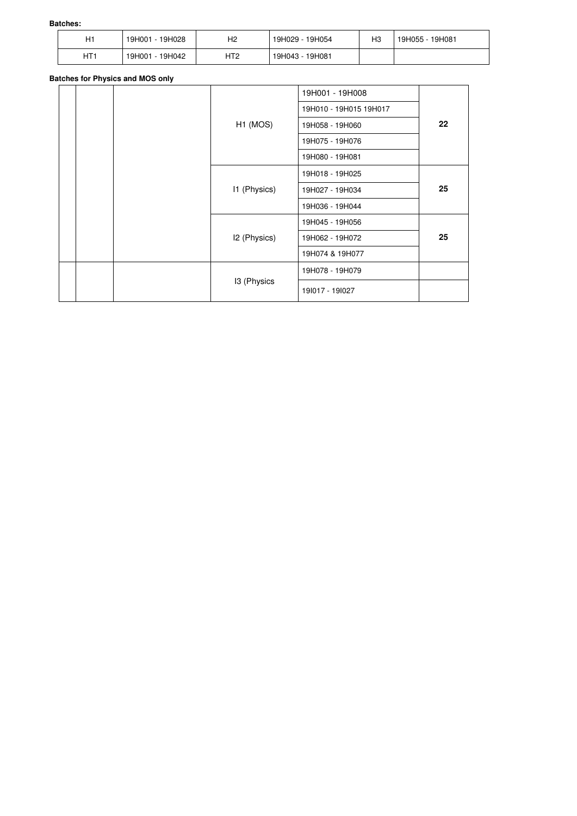| H1  | 19H028<br>19H001 - | H <sub>2</sub> | 19H029 - 19H054 | HЗ | 19H055 - 19H081 |
|-----|--------------------|----------------|-----------------|----|-----------------|
| HT1 | 19H042<br>19H001 - | HT2            | 19H043 - 19H081 |    |                 |

### **Batches for Physics and MOS only**

|  |  |                      |                 | 19H001 - 19H008        |    |  |
|--|--|----------------------|-----------------|------------------------|----|--|
|  |  |                      |                 | 19H010 - 19H015 19H017 |    |  |
|  |  | H <sub>1</sub> (MOS) | 19H058 - 19H060 | $22 \,$                |    |  |
|  |  |                      | 19H075 - 19H076 |                        |    |  |
|  |  |                      | 19H080 - 19H081 |                        |    |  |
|  |  |                      |                 | 19H018 - 19H025        |    |  |
|  |  | I1 (Physics)         | 19H027 - 19H034 | 25                     |    |  |
|  |  |                      |                 | 19H036 - 19H044        |    |  |
|  |  |                      |                 | 19H045 - 19H056        |    |  |
|  |  |                      | I2 (Physics)    | 19H062 - 19H072        | 25 |  |
|  |  |                      |                 | 19H074 & 19H077        |    |  |
|  |  |                      | 19H078 - 19H079 |                        |    |  |
|  |  | 13 (Physics          |                 | 191017 - 191027        |    |  |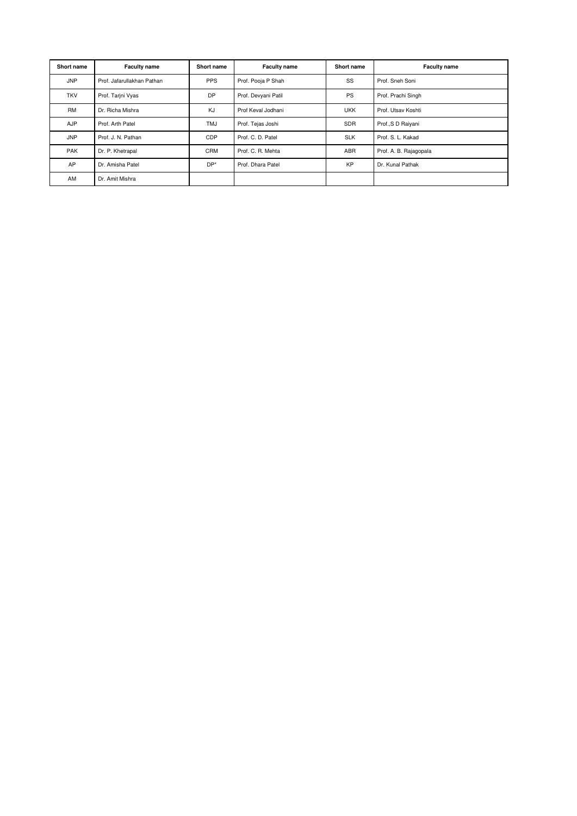| <b>Short name</b> | <b>Faculty name</b>        | <b>Short name</b> | <b>Faculty name</b> | <b>Short name</b> | <b>Faculty name</b>    |  |
|-------------------|----------------------------|-------------------|---------------------|-------------------|------------------------|--|
| <b>JNP</b>        | Prof. Jafarullakhan Pathan | <b>PPS</b>        | Prof. Pooja P Shah  | SS                | Prof. Sneh Soni        |  |
| <b>TKV</b>        | Prof. Tarjni Vyas          | <b>DP</b>         | Prof. Devyani Patil | <b>PS</b>         | Prof. Prachi Singh     |  |
| <b>RM</b>         | Dr. Richa Mishra           | KJ                | Prof Keval Jodhani  | <b>UKK</b>        | Prof. Utsav Koshti     |  |
| <b>AJP</b>        | Prof. Arth Patel           | <b>TMJ</b>        | Prof. Tejas Joshi   | SDR               | Prof., S D Raiyani     |  |
| <b>JNP</b>        | Prof. J. N. Pathan         | <b>CDP</b>        | Prof. C. D. Patel   | <b>SLK</b>        | Prof. S. L. Kakad      |  |
| <b>PAK</b>        | Dr. P. Khetrapal           | <b>CRM</b>        | Prof. C. R. Mehta   | <b>ABR</b>        | Prof. A. B. Rajagopala |  |
| AP                | Dr. Amisha Patel           | $DP*$             | Prof. Dhara Patel   | <b>KP</b>         | Dr. Kunal Pathak       |  |
| AM                | Dr. Amit Mishra            |                   |                     |                   |                        |  |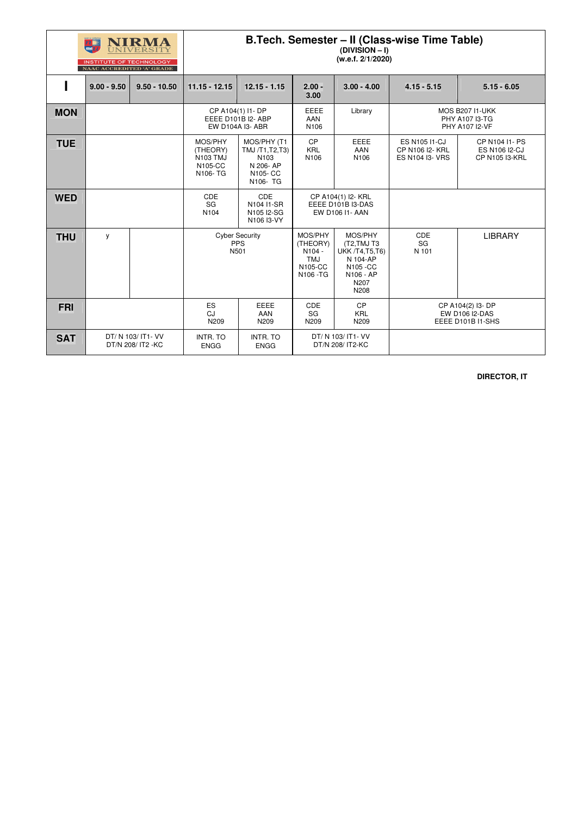|            | <b>INSTITUTE OF TECHNOLOGY</b><br>NAAC ACCREDITED 'A' GRADE | NIRMA                                    | B.Tech. Semester - II (Class-wise Time Table)<br>(DIVISION - I)<br>(w.e.f. 2/1/2020) |                                                                                        |                                                              |                                                                                                       |                                                                   |                                                                 |
|------------|-------------------------------------------------------------|------------------------------------------|--------------------------------------------------------------------------------------|----------------------------------------------------------------------------------------|--------------------------------------------------------------|-------------------------------------------------------------------------------------------------------|-------------------------------------------------------------------|-----------------------------------------------------------------|
|            | $9.00 - 9.50$                                               | $9.50 - 10.50$                           | $11.15 - 12.15$                                                                      | $12.15 - 1.15$                                                                         | $2.00 -$<br>3.00                                             | $3.00 - 4.00$                                                                                         | $4.15 - 5.15$                                                     | $5.15 - 6.05$                                                   |
| <b>MON</b> |                                                             |                                          | CP A104(1) I1- DP                                                                    | EEEE D101B I2- ABP<br>EW D104A I3- ABR                                                 | EEEE<br><b>AAN</b><br>N106                                   | Library                                                                                               | <b>MOS B207 I1-UKK</b><br>PHY A107 I3-TG<br>PHY A107 I2-VF        |                                                                 |
| <b>TUE</b> |                                                             |                                          | MOS/PHY<br>(THEORY)<br><b>N103 TMJ</b><br>N105-CC<br>N106-TG                         | MOS/PHY (T1<br>TMJ /T1, T2, T3)<br>N <sub>103</sub><br>N 206-AP<br>N105-CC<br>N106- TG | CP<br><b>KRL</b><br>N <sub>106</sub>                         | <b>EEEE</b><br>AAN<br>N <sub>106</sub>                                                                | <b>ES N105 I1-CJ</b><br>CP N106 I2- KRL<br><b>ES N104 I3- VRS</b> | CP N104 I1- PS<br><b>ES N106 I2-CJ</b><br>CP N105 I3-KRL        |
| <b>WED</b> |                                                             |                                          | <b>CDE</b><br>SG<br>N <sub>104</sub>                                                 | CDE<br>N104 I1-SR<br>N105 I2-SG<br>N106 I3-VY                                          | CP A104(1) I2- KRL<br>EEEE D101B I3-DAS<br>EW D106 I1- AAN   |                                                                                                       |                                                                   |                                                                 |
| <b>THU</b> | y                                                           |                                          | N501                                                                                 | <b>Cyber Security</b><br><b>PPS</b>                                                    | MOS/PHY<br>(THEORY)<br>N104 -<br>TMJ<br>N105-CC<br>N106 - TG | MOS/PHY<br>(T2, TMJ T3<br><b>UKK /T4,T5,T6)</b><br>N 104-AP<br>N105 - CC<br>N106 - AP<br>N207<br>N208 | CDE<br>SG<br>N 101                                                | <b>LIBRARY</b>                                                  |
| <b>FRI</b> |                                                             |                                          | <b>ES</b><br>CJ<br>N209                                                              | <b>EEEE</b><br>AAN<br>N209                                                             | CDE<br>SG<br>N209                                            | CP<br><b>KRL</b><br>N209                                                                              |                                                                   | CP A104(2) I3- DP<br><b>EW D106 I2-DAS</b><br>EEEE D101B I1-SHS |
| <b>SAT</b> |                                                             | DT/ N 103/ IT1- VV<br>DT/N 208/ IT2 - KC | <b>INTR. TO</b><br><b>ENGG</b>                                                       | <b>INTR. TO</b><br><b>ENGG</b>                                                         |                                                              | DT/ N 103/ IT1- VV<br>DT/N 208/ IT2-KC                                                                |                                                                   |                                                                 |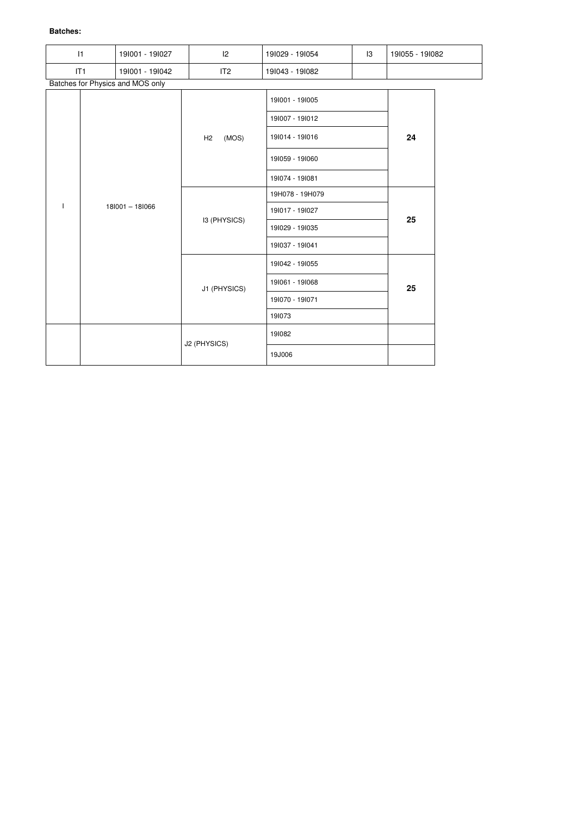| 1            |     | 191001 - 191027                  | 2            | 191029 - 191054 | $\overline{3}$ | 191055 - 191082 |  |
|--------------|-----|----------------------------------|--------------|-----------------|----------------|-----------------|--|
|              | IT1 | 191001 - 191042                  | IT2          | 191043 - 191082 |                |                 |  |
|              |     | Batches for Physics and MOS only |              |                 |                |                 |  |
|              |     |                                  |              | 191001 - 191005 |                |                 |  |
|              |     |                                  | (MOS)<br>H2  | 191007 - 191012 |                |                 |  |
|              |     |                                  |              | 191014 - 191016 |                | 24              |  |
|              |     |                                  |              | 191059 - 191060 |                |                 |  |
|              |     | 181001 - 181066                  |              | 191074 - 191081 |                |                 |  |
|              |     |                                  |              | 19H078 - 19H079 |                | 25              |  |
| $\mathbf{I}$ |     |                                  |              | 191017 - 191027 |                |                 |  |
|              |     |                                  | I3 (PHYSICS) | 191029 - 191035 |                |                 |  |
|              |     |                                  |              | 191037 - 191041 |                |                 |  |
|              |     |                                  |              | 191042 - 191055 |                |                 |  |
|              |     |                                  | J1 (PHYSICS) | 191061 - 191068 |                | 25              |  |
|              |     |                                  |              | 191070 - 191071 |                |                 |  |
|              |     |                                  |              | 191073          |                |                 |  |
|              |     |                                  | J2 (PHYSICS) | 191082          |                |                 |  |
|              |     |                                  |              | 19J006          |                |                 |  |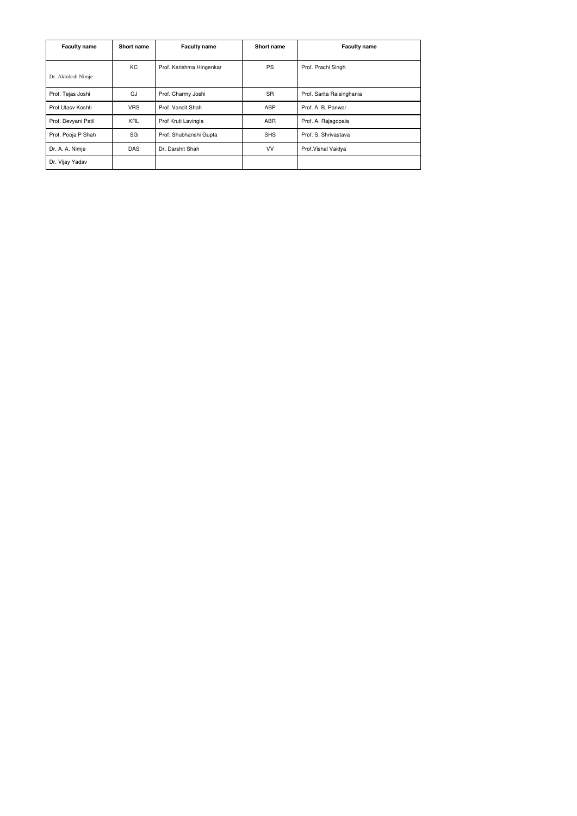| <b>Faculty name</b><br>Short name                    |                                 | <b>Faculty name</b><br>Short name |                           | <b>Faculty name</b>  |  |
|------------------------------------------------------|---------------------------------|-----------------------------------|---------------------------|----------------------|--|
| KC<br>Prof. Karishma Hingenkar<br>Dr. Akhilesh Nimje |                                 | <b>PS</b>                         | Prof. Prachi Singh        |                      |  |
| CJ<br>Prof. Tejas Joshi<br>Prof. Charmy Joshi        |                                 | <b>SR</b>                         | Prof. Sarita Raisinghania |                      |  |
| Prof.Utasy Koshti                                    | <b>VRS</b><br>Prof. Vandit Shah |                                   | <b>ABP</b>                | Prof. A. B. Panwar   |  |
| Prof. Devyani Patil                                  | <b>KRL</b>                      | Prof Kruti Lavingia               | <b>ABR</b>                | Prof. A. Rajagopala  |  |
| Prof. Pooja P Shah                                   | SG                              | Prof. Shubhanshi Gupta            | <b>SHS</b>                | Prof. S. Shrivastava |  |
| <b>DAS</b><br>Dr. A. A. Nimje<br>Dr. Darshit Shah    |                                 | VV                                | Prof. Vishal Vaidya       |                      |  |
| Dr. Vijay Yadav                                      |                                 |                                   |                           |                      |  |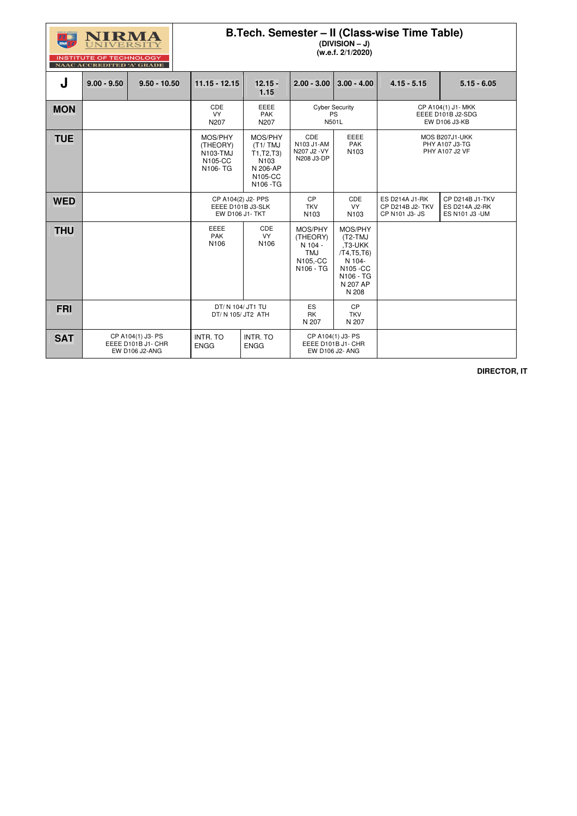

### **B.Tech. Semester – II (Class-wise Time Table)**

**(DIVISION – J)** 

**(w.e.f. 2/1/2020)** 

| J          | $9.00 - 9.50$ | $9.50 - 10.50$                                                   | $11.15 - 12.15$                                                   | $12.15 -$<br>1.15                                                             | $2.00 - 3.00$                                                         | $3.00 - 4.00$                                                                                       | $4.15 - 5.15$                                                    | $5.15 - 6.05$                                               |
|------------|---------------|------------------------------------------------------------------|-------------------------------------------------------------------|-------------------------------------------------------------------------------|-----------------------------------------------------------------------|-----------------------------------------------------------------------------------------------------|------------------------------------------------------------------|-------------------------------------------------------------|
| <b>MON</b> |               |                                                                  | CDE<br><b>VY</b><br>N207                                          | EEEE<br><b>PAK</b><br>N207                                                    |                                                                       | <b>Cyber Security</b><br><b>PS</b><br>N501L                                                         |                                                                  | CP A104(1) J1- MKK<br>EEEE D101B J2-SDG<br>EW D106 J3-KB    |
| <b>TUE</b> |               |                                                                  | MOS/PHY<br>(THEORY)<br>N103-TMJ<br>N105-CC<br>N106-TG             | MOS/PHY<br>(T1/TMJ)<br>T1, T2, T3<br>N103<br>N 206-AP<br>N105-CC<br>N106 - TG | CDE<br>N103 J1-AM<br>N207 J2 - VY<br>N208 J3-DP                       | <b>EEEE</b><br><b>PAK</b><br>N103                                                                   | MOS B207J1-UKK<br><b>PHY A107 J3-TG</b><br><b>PHY A107 J2 VF</b> |                                                             |
| <b>WED</b> |               |                                                                  | CP A104(2) J2- PPS<br>EEEE D101B J3-SLK<br><b>EW D106 J1- TKT</b> |                                                                               | <b>CP</b><br><b>TKV</b><br>N <sub>103</sub>                           | CDE<br><b>VY</b><br>N <sub>103</sub>                                                                | <b>ES D214A J1-RK</b><br>CP D214B J2- TKV<br>CP N101 J3- JS      | CP D214B J1-TKV<br><b>ES D214A J2-RK</b><br>ES N101 J3 - UM |
| <b>THU</b> |               |                                                                  | <b>EEEE</b><br><b>PAK</b><br>N106                                 | CDE<br><b>VY</b><br>N106                                                      | MOS/PHY<br>(THEORY)<br>N 104 -<br><b>TMJ</b><br>N105,-CC<br>N106 - TG | MOS/PHY<br>(T2-TMJ<br>,T3-UKK<br>/T4,T5,T6<br>N 104-<br>N105 - CC<br>N106 - TG<br>N 207 AP<br>N 208 |                                                                  |                                                             |
| <b>FRI</b> |               |                                                                  | DT/ N 104/ JT1 TU<br>DT/ N 105/ JT2 ATH                           |                                                                               | ES<br>RK<br>N 207                                                     | CP<br><b>TKV</b><br>N 207                                                                           |                                                                  |                                                             |
| <b>SAT</b> |               | CP A104(1) J3- PS<br>EEEE D101B J1- CHR<br><b>EW D106 J2-ANG</b> | <b>INTR. TO</b><br><b>ENGG</b>                                    | <b>INTR. TO</b><br><b>ENGG</b>                                                |                                                                       | CP A104(1) J3- PS<br>EEEE D101B J1- CHR<br>EW D106 J2- ANG                                          |                                                                  |                                                             |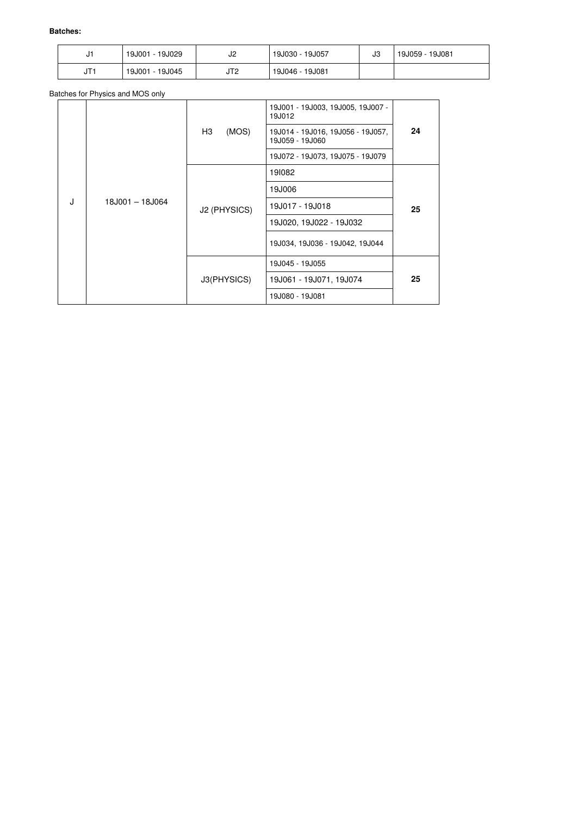| ບ            | 19J029<br>19J001<br>$\overline{\phantom{a}}$ | J2  | 19J030 - 19J057 | J3 | 19J081<br>19J059 - |
|--------------|----------------------------------------------|-----|-----------------|----|--------------------|
| IT.<br>ا ا ب | 19J045<br>19J001<br>$\overline{\phantom{a}}$ | JT2 | 19J046 - 19J081 |    |                    |

Batches for Physics and MOS only

|   |                 |                                                                     | 19J001 - 19J003, 19J005, 19J007 -<br>19J012 |    |  |
|---|-----------------|---------------------------------------------------------------------|---------------------------------------------|----|--|
|   |                 | H3<br>(MOS)<br>19J014 - 19J016, 19J056 - 19J057,<br>19J059 - 19J060 |                                             | 24 |  |
|   |                 |                                                                     | 19J072 - 19J073, 19J075 - 19J079            |    |  |
|   |                 |                                                                     | 191082                                      |    |  |
|   |                 | 19J006                                                              |                                             |    |  |
| J | 18J001 - 18J064 | J2 (PHYSICS)                                                        | 19J017 - 19J018                             | 25 |  |
|   |                 |                                                                     | 19J020, 19J022 - 19J032                     |    |  |
|   |                 |                                                                     | 19J034, 19J036 - 19J042, 19J044             |    |  |
|   |                 |                                                                     | 19J045 - 19J055                             |    |  |
|   |                 | J3(PHYSICS)                                                         | 19J061 - 19J071, 19J074                     | 25 |  |
|   |                 |                                                                     | 19J080 - 19J081                             |    |  |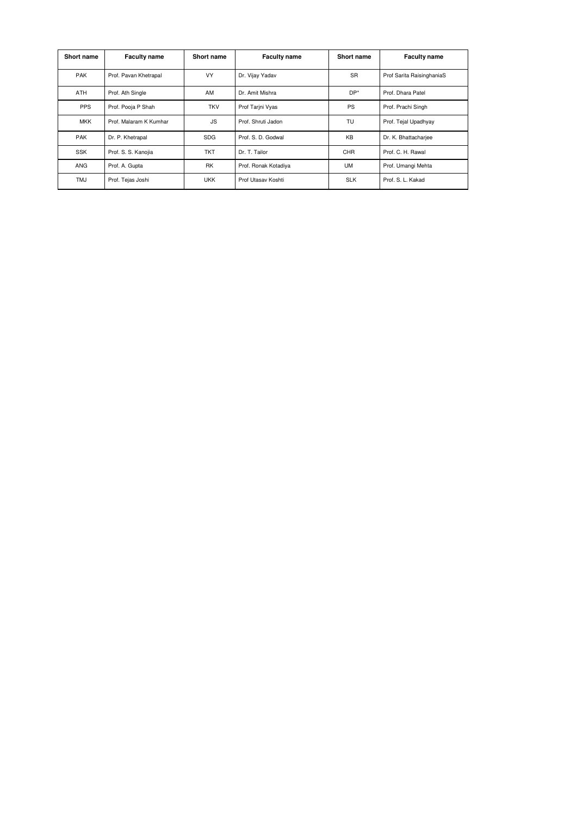| <b>Short name</b> | <b>Faculty name</b>    | <b>Short name</b> | <b>Faculty name</b>  | <b>Short name</b> | <b>Faculty name</b>       |
|-------------------|------------------------|-------------------|----------------------|-------------------|---------------------------|
| <b>PAK</b>        | Prof. Pavan Khetrapal  | <b>VY</b>         | Dr. Vijay Yadav      | <b>SR</b>         | Prof Sarita RaisinghaniaS |
| <b>ATH</b>        | Prof. Ath Single       | AM                | Dr. Amit Mishra      |                   | Prof. Dhara Patel         |
| <b>PPS</b>        | Prof. Pooja P Shah     | <b>TKV</b>        | Prof Tarini Vyas     | <b>PS</b>         | Prof. Prachi Singh        |
| <b>MKK</b>        | Prof. Malaram K Kumhar | <b>JS</b>         | Prof. Shruti Jadon   | TU                | Prof. Tejal Upadhyay      |
| <b>PAK</b>        | Dr. P. Khetrapal       | <b>SDG</b>        | Prof. S. D. Godwal   | <b>KB</b>         | Dr. K. Bhattacharjee      |
| <b>SSK</b>        | Prof. S. S. Kanojia    | <b>TKT</b>        | Dr. T. Tailor        | <b>CHR</b>        | Prof. C. H. Rawal         |
| <b>ANG</b>        | Prof. A. Gupta         | <b>RK</b>         | Prof. Ronak Kotadiya | <b>UM</b>         | Prof. Umangi Mehta        |
| <b>TMJ</b>        | Prof. Tejas Joshi      | <b>UKK</b>        | Prof Utasav Koshti   | <b>SLK</b>        | Prof. S. L. Kakad         |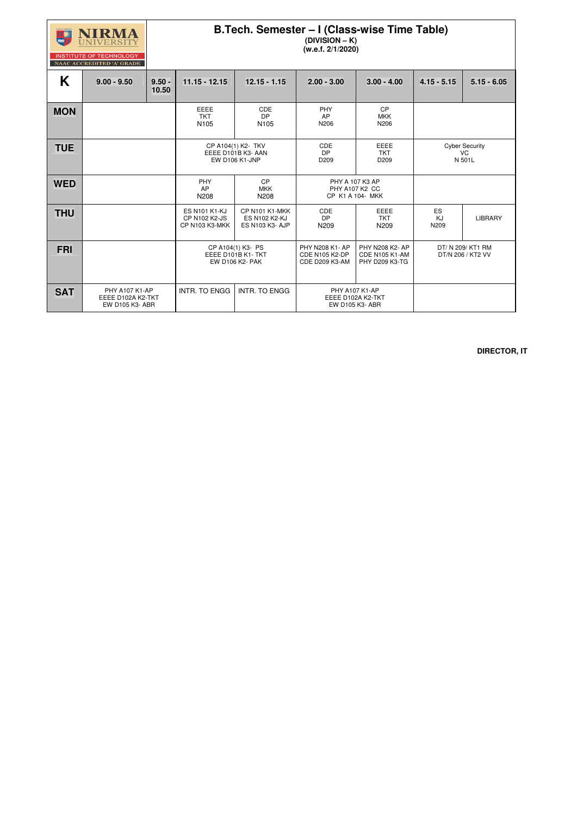

### **B.Tech. Semester – I (Class-wise Time Table) (DIVISION – K)**

**(w.e.f. 2/1/2020)** 

**INSTITUTE OF TECHNOLOGY** NAAC ACCREDITED 'A' GRADE

#### $\mathsf{K}$  | 9.00 - 9.50 | 9.50 -**10.50**  11.15 - 12.15 | 12.15 - 1.15 | 2.00 - 3.00 | 3.00 - 4.00 | 4.15 - 5.15 | 5.15 - 6.05 **MON EEEE** TKT N105 CDE DP N105 PHY AP N206 CP MKK N206  $\overline{\text{TUE}}$   $\overline{\text{CPA104(1) K2- TKV}}$   $\overline{\text{EEE D101B K3- AAN}}$ EW D106 K1-JNP CDE DP D209 EEEE TKT D209 Cyber Security VC N 501L **WED** PHY AP N208 CP MKK N208 PHY A 107 K3 AP PHY A107 K2 CC CP K1 A 104- MKK **THU ES N101 K1-KJ** CP N102 K2-JS CP N103 K3-MKK CP N101 K1-MKK ES N102 K2-KJ ES N103 K3- AJP CDE DP N209 EEEE TKT N209 ES KJ N209 LIBRARY **FRI CP** A104(1) K3- PS EEEE D101B K1- TKT EW D106 K2- PAK PHY N208 K1- AP CDE N105 K2-DP CDE D209 K3-AM PHY N208 K2- AP CDE N105 K1-AM PHY D209 K3-TG DT/ N 209/ KT1 RM DT/N 206 / KT2 VV **SAT PHY A107 K1-AP** EEEE D102A K2-TKT EW D105 K3- ABR  $INTR. TO ENGG$  INTR. TO ENGG  $\parallel$  PHY A107 K1-AP EEEE D102A K2-TKT EW D105 K3- ABR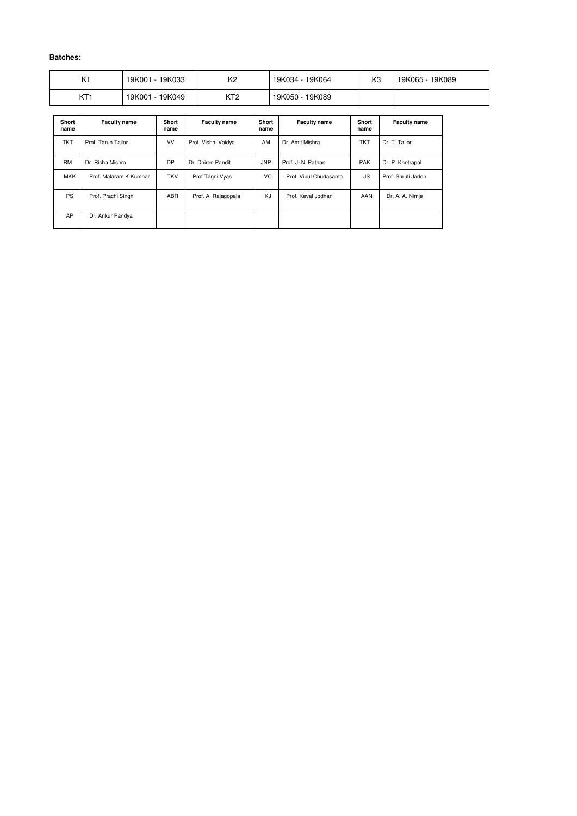| K1              | - 19K033<br>19K001 | K <sub>2</sub> | 19K064<br>19K034 - . | K <sub>3</sub> | 19K089<br>19K065 |
|-----------------|--------------------|----------------|----------------------|----------------|------------------|
| KT <sub>1</sub> | 19K049<br>19K001   | レエク<br>◝◝      | 19K089<br>19K050 -   |                |                  |

| <b>Short</b><br>name | <b>Faculty name</b>    | <b>Short</b><br>name | <b>Faculty name</b> | <b>Short</b><br>name | <b>Faculty name</b>   | <b>Short</b><br>name | <b>Faculty name</b> |
|----------------------|------------------------|----------------------|---------------------|----------------------|-----------------------|----------------------|---------------------|
| <b>TKT</b>           | Prof. Tarun Tailor     | <b>VV</b>            | Prof. Vishal Vaidya | AM                   | Dr. Amit Mishra       | <b>TKT</b>           | Dr. T. Tailor       |
| <b>RM</b>            | Dr. Richa Mishra       | <b>DP</b>            | Dr. Dhiren Pandit   | <b>JNP</b>           | Prof. J. N. Pathan    | <b>PAK</b>           | Dr. P. Khetrapal    |
| <b>MKK</b>           | Prof. Malaram K Kumhar | <b>TKV</b>           | Prof Tarini Vyas    | VC                   | Prof. Vipul Chudasama | <b>JS</b>            | Prof. Shruti Jadon  |
| <b>PS</b>            | Prof. Prachi Singh     | <b>ABR</b>           | Prof. A. Rajagopala | KJ                   | Prof. Keval Jodhani   | AAN                  | Dr. A. A. Nimje     |
| AP                   | Dr. Ankur Pandya       |                      |                     |                      |                       |                      |                     |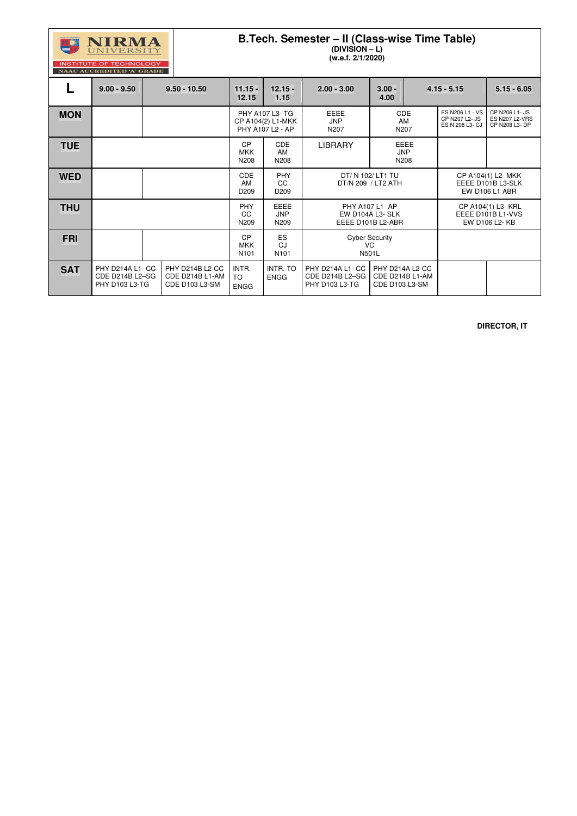

### **B.Tech. Semester – II (Class-wise Time Table)**

**(DIVISION – L) (w.e.f. 2/1/2020)** 

|            | <b>NAAC ACCREDITED 'A' GRADE</b>                             |                                                             |                                      |                                                          |                                                                 |                                                      |      |                                                                  |                                                           |
|------------|--------------------------------------------------------------|-------------------------------------------------------------|--------------------------------------|----------------------------------------------------------|-----------------------------------------------------------------|------------------------------------------------------|------|------------------------------------------------------------------|-----------------------------------------------------------|
|            | $9.00 - 9.50$                                                | $9.50 - 10.50$                                              | $11.15 -$<br>12.15                   | $12.15 -$<br>1.15                                        | $2.00 - 3.00$                                                   | $3.00 -$<br>4.00                                     |      | $4.15 - 5.15$                                                    | $5.15 - 6.05$                                             |
| <b>MON</b> |                                                              |                                                             |                                      | PHY A107 L3- TG<br>CP A104(2) L1-MKK<br>PHY A107 L2 - AP | <b>EEEE</b><br><b>JNP</b><br>N207                               | <b>CDE</b><br>AM<br>N207                             |      | ES N206 L1 - VS<br>CP N207 L2- JS<br>ES N 208 L3- CJ             | CP N206 L1- JS<br><b>ES N207 L2-VRS</b><br>CP N208 L3- DP |
| <b>TUE</b> |                                                              |                                                             | CP<br><b>MKK</b><br>N208             | <b>CDE</b><br>AM<br>N208                                 | <b>LIBRARY</b>                                                  | <b>JNP</b><br>N208                                   | EEEE |                                                                  |                                                           |
| <b>WED</b> |                                                              |                                                             | <b>CDE</b><br>AM<br>D <sub>209</sub> | <b>PHY</b><br><b>CC</b><br>D <sub>209</sub>              | DT/ N 102/ LT1 TU<br>DT/N 209 / LT2 ATH                         |                                                      |      | CP A104(1) L2- MKK<br>EEEE D101B L3-SLK<br><b>EW D106 L1 ABR</b> |                                                           |
| <b>THU</b> |                                                              |                                                             | <b>PHY</b><br><b>CC</b><br>N209      | <b>EEEE</b><br><b>JNP</b><br>N209                        | <b>PHY A107 L1- AP</b><br>EW D104A L3- SLK<br>EEEE D101B L2-ABR |                                                      |      | CP A104(1) L3- KRL<br>EEEE D101B L1-VVS<br>EW D106 L2-KB         |                                                           |
| FRI        |                                                              |                                                             | CP<br>MKK<br>N <sub>101</sub>        | ES<br>CJ<br>N <sub>101</sub>                             | <b>Cyber Security</b><br>VC.<br>N501L                           |                                                      |      |                                                                  |                                                           |
| <b>SAT</b> | PHY D214A L1- CC<br><b>CDE D214B L2-SG</b><br>PHY D103 L3-TG | PHY D214B L2-CC<br>CDE D214B L1-AM<br><b>CDE D103 L3-SM</b> | INTR.<br><b>TO</b><br><b>ENGG</b>    | <b>INTR. TO</b><br><b>ENGG</b>                           | PHY D214A L1- CC<br>CDE D214B L2-SG<br>PHY D103 L3-TG           | PHY D214A L2-CC<br>CDE D214B L1-AM<br>CDE D103 L3-SM |      |                                                                  |                                                           |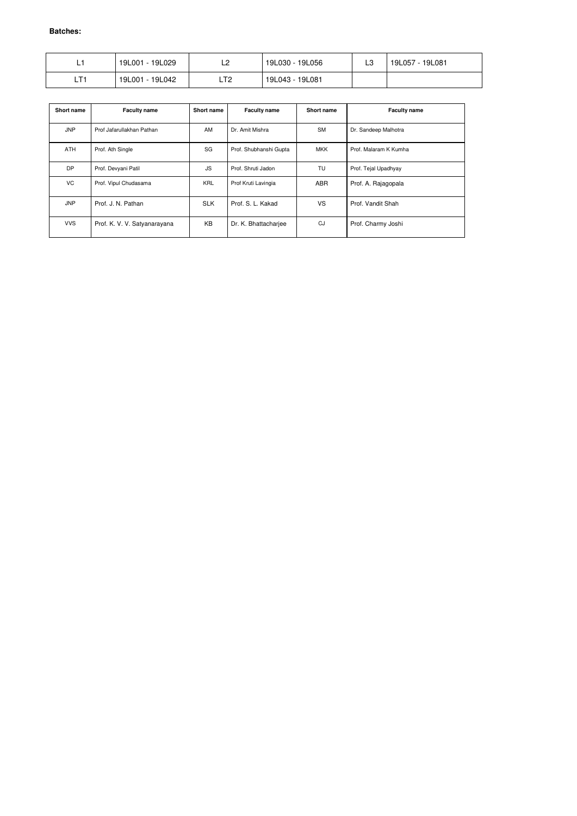| <u>.</u>     | 19L029           | r       | 19L056           | $\sim$ | 19L057    |
|--------------|------------------|---------|------------------|--------|-----------|
|              | 19L001           | ∸∸      | 19L030 -         | ∟ບ     | $-19L081$ |
| $T +$<br>_ . | 19L042<br>19L001 | ா<br>니ᄼ | 19L081<br>19L043 |        |           |

| Short name | <b>Faculty name</b>          | Short name | <b>Faculty name</b>    | Short name | <b>Faculty name</b>   |
|------------|------------------------------|------------|------------------------|------------|-----------------------|
| <b>JNP</b> | Prof Jafarullakhan Pathan    | AM         | Dr. Amit Mishra        | <b>SM</b>  | Dr. Sandeep Malhotra  |
| <b>ATH</b> | Prof. Ath Single             | SG         | Prof. Shubhanshi Gupta | <b>MKK</b> | Prof. Malaram K Kumha |
| <b>DP</b>  | Prof. Devyani Patil          | JS.        | Prof. Shruti Jadon     | TU         | Prof. Tejal Upadhyay  |
| VC         | Prof. Vipul Chudasama        | <b>KRL</b> | Prof Kruti Lavingia    | <b>ABR</b> | Prof. A. Rajagopala   |
| <b>JNP</b> | Prof. J. N. Pathan           | <b>SLK</b> | Prof. S. L. Kakad      | VS         | Prof. Vandit Shah     |
| <b>VVS</b> | Prof. K. V. V. Satyanarayana | KB         | Dr. K. Bhattacharjee   | CJ         | Prof. Charmy Joshi    |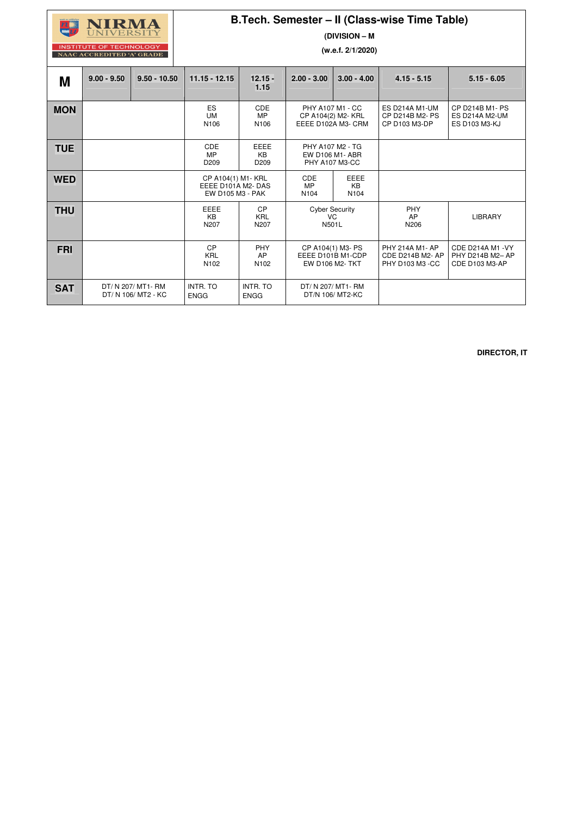# UNIVERSITY **INSTITUTE OF TECHNOLOGY**

NAAC ACCREDITED 'A' GRADE

## **B.Tech. Semester – II (Class-wise Time Table)**

**(DIVISION – M** 

**(w.e.f. 2/1/2020)** 

| M          | $9.00 - 9.50$ | $9.50 - 10.50$                            | $11.15 - 12.15$                                             | $12.15 -$<br>1.15                            | $2.00 - 3.00$                                         | $3.00 - 4.00$                                                    | $4.15 - 5.15$                                                 | $5.15 - 6.05$                                                           |
|------------|---------------|-------------------------------------------|-------------------------------------------------------------|----------------------------------------------|-------------------------------------------------------|------------------------------------------------------------------|---------------------------------------------------------------|-------------------------------------------------------------------------|
| <b>MON</b> |               |                                           | ES<br><b>UM</b><br>N106                                     | <b>CDE</b><br><b>MP</b><br>N <sub>106</sub>  | EEEE D102A M3- CRM                                    | PHY A107 M1 - CC<br>CP A104(2) M2- KRL                           | ES D214A M1-UM<br>CP D214B M2- PS<br>CP D103 M3-DP            | <b>CP D214B M1- PS</b><br><b>ES D214A M2-UM</b><br><b>ES D103 M3-KJ</b> |
| <b>TUE</b> |               |                                           | <b>CDE</b><br><b>MP</b><br>D <sub>209</sub>                 | <b>EEEE</b><br><b>KB</b><br>D <sub>209</sub> | PHY A107 M2 - TG<br>EW D106 M1- ABR<br>PHY A107 M3-CC |                                                                  |                                                               |                                                                         |
| <b>WED</b> |               |                                           | CP A104(1) M1- KRL<br>EEEE D101A M2-DAS<br>EW D105 M3 - PAK |                                              | <b>CDE</b><br><b>MP</b><br>N <sub>104</sub>           | <b>EEEE</b><br><b>KB</b><br>N <sub>104</sub>                     |                                                               |                                                                         |
| <b>THU</b> |               |                                           | <b>EEEE</b><br><b>KB</b><br>N207                            | CP<br><b>KRL</b><br>N207                     | <b>Cyber Security</b><br>VC.<br>N501L                 |                                                                  | PHY<br>AP<br>N206                                             | <b>LIBRARY</b>                                                          |
| <b>FRI</b> |               |                                           | CP<br><b>KRL</b><br>N102                                    | <b>PHY</b><br>AP<br>N <sub>102</sub>         |                                                       | CP A104(1) M3- PS<br>EEEE D101B M1-CDP<br><b>EW D106 M2- TKT</b> | PHY 214A M1- AP<br><b>CDE D214B M2- AP</b><br>PHY D103 M3 -CC | CDE D214A M1 - VY<br>PHY D214B M2- AP<br><b>CDE D103 M3-AP</b>          |
| <b>SAT</b> |               | DT/ N 207/ MT1- RM<br>DT/ N 106/ MT2 - KC | <b>INTR. TO</b><br><b>ENGG</b>                              | <b>INTR. TO</b><br><b>ENGG</b>               |                                                       | DT/ N 207/ MT1- RM<br>DT/N 106/ MT2-KC                           |                                                               |                                                                         |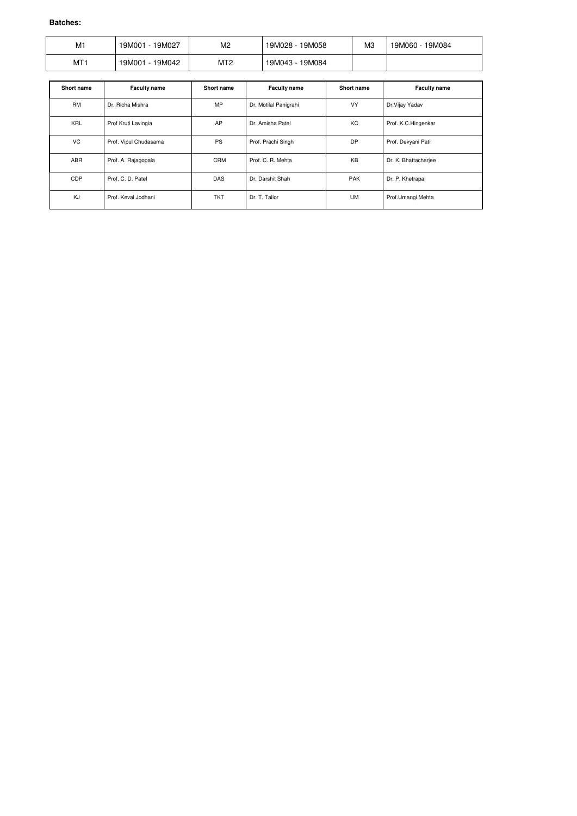| M1  | 19M001<br>19M027 | M <sub>2</sub> | 19M058<br>19M028 - | M <sub>3</sub> | 19M084<br>19M060 - . |
|-----|------------------|----------------|--------------------|----------------|----------------------|
| MT1 | 19M001<br>19M042 | MT2            | 19M084<br>19M043 - |                |                      |

| <b>Short name</b> | <b>Faculty name</b>   | Short name | <b>Faculty name</b>   | <b>Short name</b> | <b>Faculty name</b>  |
|-------------------|-----------------------|------------|-----------------------|-------------------|----------------------|
| <b>RM</b>         | Dr. Richa Mishra      | <b>MP</b>  | Dr. Motilal Panigrahi | <b>VY</b>         | Dr. Vijay Yadav      |
| <b>KRL</b>        | Prof Kruti Lavingia   | AP         | Dr. Amisha Patel      | КC                | Prof. K.C.Hingenkar  |
| <b>VC</b>         | Prof. Vipul Chudasama | <b>PS</b>  | Prof. Prachi Singh    | DP                | Prof. Devyani Patil  |
| <b>ABR</b>        | Prof. A. Rajagopala   | <b>CRM</b> | Prof. C. R. Mehta     | <b>KB</b>         | Dr. K. Bhattacharjee |
| <b>CDP</b>        | Prof. C. D. Patel     | <b>DAS</b> | Dr. Darshit Shah      | <b>PAK</b>        | Dr. P. Khetrapal     |
| KJ                | Prof. Keval Jodhani   | <b>TKT</b> | Dr. T. Tailor         | <b>UM</b>         | Prof.Umangi Mehta    |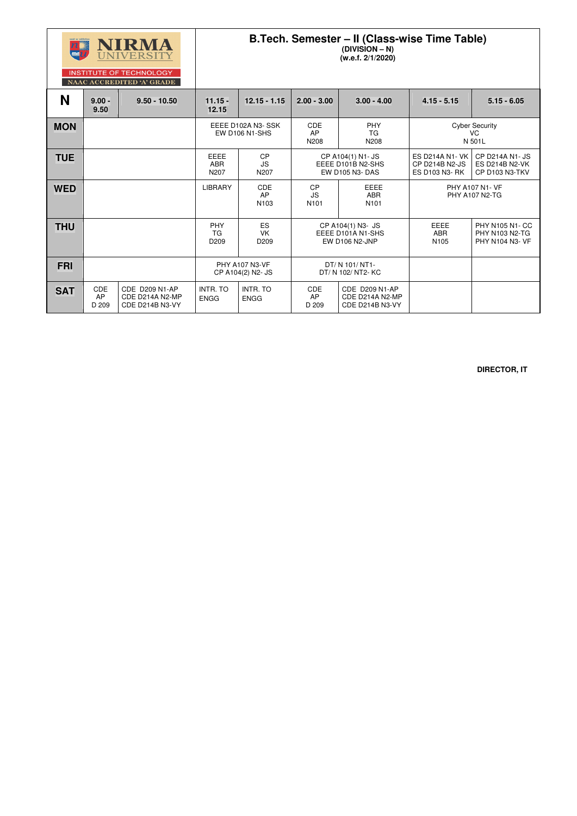|            |                                  | NIRMA<br><b>UNIVERSITY</b><br><b>INSTITUTE OF TECHNOLOGY</b><br>NAAC ACCREDITED 'A' GRADE | B.Tech. Semester - II (Class-wise Time Table)<br>$(DIVISION - N)$<br>(w.e.f. 2/1/2020) |                                            |                                                                    |                                                             |                                                           |                                                                   |
|------------|----------------------------------|-------------------------------------------------------------------------------------------|----------------------------------------------------------------------------------------|--------------------------------------------|--------------------------------------------------------------------|-------------------------------------------------------------|-----------------------------------------------------------|-------------------------------------------------------------------|
| N          | $9.00 -$<br>9.50                 | $9.50 - 10.50$                                                                            | $11.15 -$<br>12.15                                                                     | $12.15 - 1.15$                             | $2.00 - 3.00$                                                      | $3.00 - 4.00$                                               | $4.15 - 5.15$                                             | $5.15 - 6.05$                                                     |
| <b>MON</b> |                                  |                                                                                           |                                                                                        | EEEE D102A N3-SSK<br><b>EW D106 N1-SHS</b> | <b>CDE</b><br><b>PHY</b><br><b>AP</b><br><b>TG</b><br>N208<br>N208 |                                                             |                                                           | <b>Cyber Security</b><br><b>VC</b><br>N 501L                      |
| <b>TUE</b> |                                  |                                                                                           | <b>EEEE</b><br><b>ABR</b><br>N207                                                      | <b>CP</b><br><b>JS</b><br>N207             | CP A104(1) N1- JS<br>EEEE D101B N2-SHS<br><b>EW D105 N3- DAS</b>   |                                                             | <b>ES D214A N1- VK</b><br>CP D214B N2-JS<br>ES D103 N3-RK | <b>CP D214A N1- JS</b><br><b>ES D214B N2-VK</b><br>CP D103 N3-TKV |
| <b>WED</b> |                                  |                                                                                           | <b>LIBRARY</b>                                                                         | <b>CDE</b><br>AP<br>N <sub>103</sub>       | <b>CP</b><br><b>JS</b><br>N <sub>101</sub>                         | <b>EEEE</b><br><b>ABR</b><br>N <sub>101</sub>               |                                                           | PHY A107 N1- VF<br>PHY A107 N2-TG                                 |
| <b>THU</b> |                                  |                                                                                           | PHY<br><b>TG</b><br>D <sub>209</sub>                                                   | ES<br><b>VK</b><br>D209                    | CP A104(1) N3- JS<br>EEEE D101A N1-SHS<br><b>EW D106 N2-JNP</b>    |                                                             | <b>EEEE</b><br><b>ABR</b><br>N <sub>105</sub>             | PHY N105 N1- CC<br>PHY N103 N2-TG<br>PHY N104 N3- VF              |
| <b>FRI</b> |                                  |                                                                                           |                                                                                        | <b>PHY A107 N3-VF</b><br>CP A104(2) N2- JS | DT/ N 101/ NT1-<br>DT/ N 102/ NT2- KC                              |                                                             |                                                           |                                                                   |
| <b>SAT</b> | <b>CDE</b><br><b>AP</b><br>D 209 | <b>CDE D209 N1-AP</b><br>CDE D214A N2-MP<br>CDE D214B N3-VY                               | <b>INTR. TO</b><br><b>ENGG</b>                                                         | <b>INTR. TO</b><br><b>ENGG</b>             | <b>CDE</b><br><b>AP</b><br>D 209                                   | <b>CDE D209 N1-AP</b><br>CDE D214A N2-MP<br>CDE D214B N3-VY |                                                           |                                                                   |